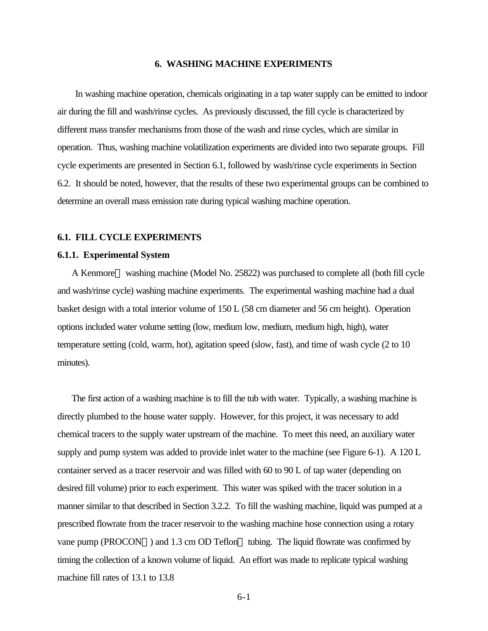## **6. WASHING MACHINE EXPERIMENTS**

In washing machine operation, chemicals originating in a tap water supply can be emitted to indoor air during the fill and wash/rinse cycles. As previously discussed, the fill cycle is characterized by different mass transfer mechanisms from those of the wash and rinse cycles, which are similar in operation. Thus, washing machine volatilization experiments are divided into two separate groups. Fill cycle experiments are presented in Section 6.1, followed by wash/rinse cycle experiments in Section 6.2. It should be noted, however, that the results of these two experimental groups can be combined to determine an overall mass emission rate during typical washing machine operation.

#### **6.1. FILL CYCLE EXPERIMENTS**

#### **6.1.1. Experimental System**

A Kenmore<sup>™</sup> washing machine (Model No. 25822) was purchased to complete all (both fill cycle and wash/rinse cycle) washing machine experiments. The experimental washing machine had a dual basket design with a total interior volume of 150 L (58 cm diameter and 56 cm height). Operation options included water volume setting (low, medium low, medium, medium high, high), water temperature setting (cold, warm, hot), agitation speed (slow, fast), and time of wash cycle (2 to 10 minutes).

The first action of a washing machine is to fill the tub with water. Typically, a washing machine is directly plumbed to the house water supply. However, for this project, it was necessary to add chemical tracers to the supply water upstream of the machine. To meet this need, an auxiliary water supply and pump system was added to provide inlet water to the machine (see Figure 6-1). A 120 L container served as a tracer reservoir and was filled with 60 to 90 L of tap water (depending on desired fill volume) prior to each experiment. This water was spiked with the tracer solution in a manner similar to that described in Section 3.2.2. To fill the washing machine, liquid was pumped at a prescribed flowrate from the tracer reservoir to the washing machine hose connection using a rotary vane pump (PROCON<sup> $TM$ </sup>) and 1.3 cm OD Teflon<sup> $TM$ </sup> tubing. The liquid flowrate was confirmed by timing the collection of a known volume of liquid. An effort was made to replicate typical washing machine fill rates of 13.1 to 13.8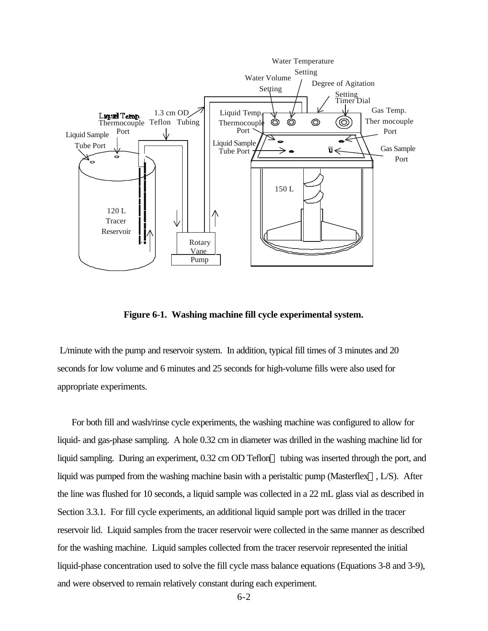

**Figure 6-1. Washing machine fill cycle experimental system.**

 L/minute with the pump and reservoir system. In addition, typical fill times of 3 minutes and 20 seconds for low volume and 6 minutes and 25 seconds for high-volume fills were also used for appropriate experiments.

For both fill and wash/rinse cycle experiments, the washing machine was configured to allow for liquid- and gas-phase sampling. A hole 0.32 cm in diameter was drilled in the washing machine lid for liquid sampling. During an experiment,  $0.32 \text{ cm}$  OD Teflon<sup> $M$ </sup> tubing was inserted through the port, and liquid was pumped from the washing machine basin with a peristaltic pump (Masterflex<sup> $\text{TM}$ </sup>, L/S). After the line was flushed for 10 seconds, a liquid sample was collected in a 22 mL glass vial as described in Section 3.3.1. For fill cycle experiments, an additional liquid sample port was drilled in the tracer reservoir lid. Liquid samples from the tracer reservoir were collected in the same manner as described for the washing machine. Liquid samples collected from the tracer reservoir represented the initial liquid-phase concentration used to solve the fill cycle mass balance equations (Equations 3-8 and 3-9), and were observed to remain relatively constant during each experiment.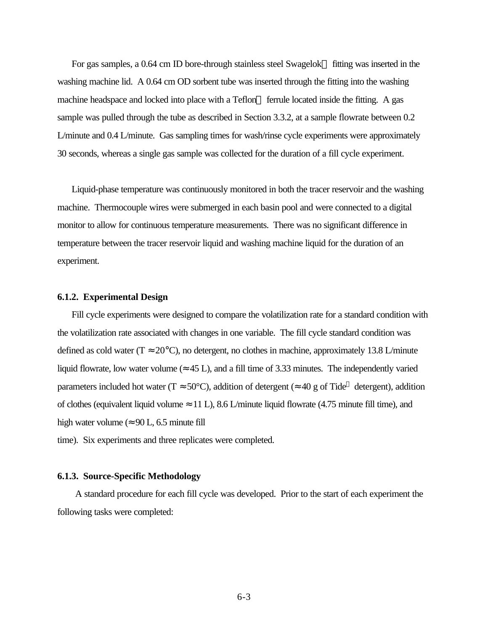For gas samples, a 0.64 cm ID bore-through stainless steel Swagelok<sup> $TM$ </sup> fitting was inserted in the washing machine lid. A 0.64 cm OD sorbent tube was inserted through the fitting into the washing machine headspace and locked into place with a Teflon<sup> $M$ </sup> ferrule located inside the fitting. A gas sample was pulled through the tube as described in Section 3.3.2, at a sample flowrate between 0.2 L/minute and 0.4 L/minute. Gas sampling times for wash/rinse cycle experiments were approximately 30 seconds, whereas a single gas sample was collected for the duration of a fill cycle experiment.

Liquid-phase temperature was continuously monitored in both the tracer reservoir and the washing machine. Thermocouple wires were submerged in each basin pool and were connected to a digital monitor to allow for continuous temperature measurements. There was no significant difference in temperature between the tracer reservoir liquid and washing machine liquid for the duration of an experiment.

#### **6.1.2. Experimental Design**

Fill cycle experiments were designed to compare the volatilization rate for a standard condition with the volatilization rate associated with changes in one variable. The fill cycle standard condition was defined as cold water ( $T \approx 20^{\circ}$ C), no detergent, no clothes in machine, approximately 13.8 L/minute liquid flowrate, low water volume ( $\approx$  45 L), and a fill time of 3.33 minutes. The independently varied parameters included hot water (T  $\approx 50^{\circ}$ C), addition of detergent ( $\approx 40$  g of Tide<sup>™</sup> detergent), addition of clothes (equivalent liquid volume  $\approx$  11 L), 8.6 L/minute liquid flowrate (4.75 minute fill time), and high water volume ( $\approx 90$  L, 6.5 minute fill

time). Six experiments and three replicates were completed.

#### **6.1.3. Source-Specific Methodology**

A standard procedure for each fill cycle was developed. Prior to the start of each experiment the following tasks were completed: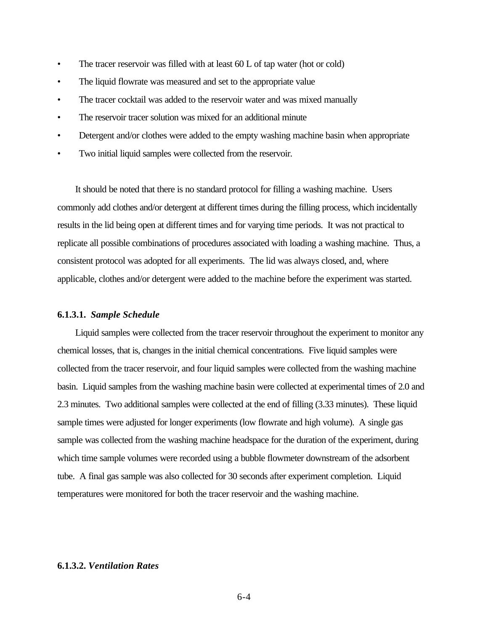- The tracer reservoir was filled with at least 60 L of tap water (hot or cold)
- The liquid flowrate was measured and set to the appropriate value
- The tracer cocktail was added to the reservoir water and was mixed manually
- The reservoir tracer solution was mixed for an additional minute
- Detergent and/or clothes were added to the empty washing machine basin when appropriate
- Two initial liquid samples were collected from the reservoir.

It should be noted that there is no standard protocol for filling a washing machine. Users commonly add clothes and/or detergent at different times during the filling process, which incidentally results in the lid being open at different times and for varying time periods. It was not practical to replicate all possible combinations of procedures associated with loading a washing machine. Thus, a consistent protocol was adopted for all experiments. The lid was always closed, and, where applicable, clothes and/or detergent were added to the machine before the experiment was started.

## **6.1.3.1.** *Sample Schedule*

Liquid samples were collected from the tracer reservoir throughout the experiment to monitor any chemical losses*,* that is, changes in the initial chemical concentrations. Five liquid samples were collected from the tracer reservoir, and four liquid samples were collected from the washing machine basin. Liquid samples from the washing machine basin were collected at experimental times of 2.0 and 2.3 minutes. Two additional samples were collected at the end of filling (3.33 minutes). These liquid sample times were adjusted for longer experiments (low flowrate and high volume). A single gas sample was collected from the washing machine headspace for the duration of the experiment, during which time sample volumes were recorded using a bubble flowmeter downstream of the adsorbent tube. A final gas sample was also collected for 30 seconds after experiment completion. Liquid temperatures were monitored for both the tracer reservoir and the washing machine.

# **6.1.3.2.** *Ventilation Rates*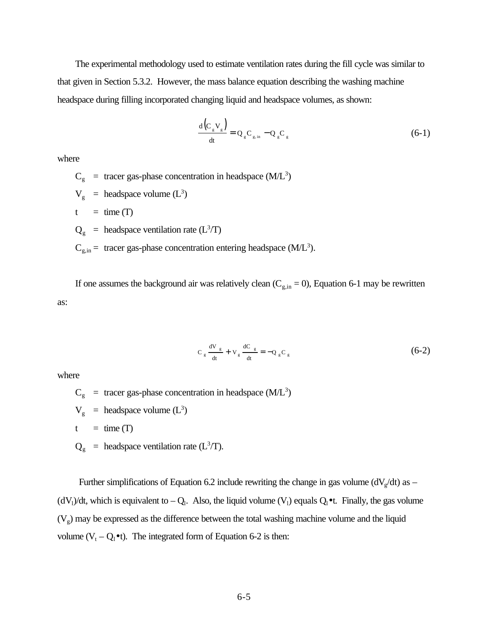The experimental methodology used to estimate ventilation rates during the fill cycle was similar to that given in Section 5.3.2. However, the mass balance equation describing the washing machine headspace during filling incorporated changing liquid and headspace volumes, as shown:

$$
\frac{\mathrm{d}\left(\mathrm{C}_{g}\mathrm{V}_{g}\right)}{\mathrm{dt}} = \mathrm{Q}_{g}\mathrm{C}_{g,\mathrm{in}} - \mathrm{Q}_{g}\mathrm{C}_{g}
$$
\n(6-1)

where

 $C_g$  = tracer gas-phase concentration in headspace (M/L<sup>3</sup>)

- $V_g$  = headspace volume  $(L^3)$
- $t = \text{time (T)}$
- $Q_g$  = headspace ventilation rate ( $L^3/T$ )
- $C_{g,in}$  = tracer gas-phase concentration entering headspace (M/L<sup>3</sup>).

If one assumes the background air was relatively clean  $(C_{g,in} = 0)$ , Equation 6-1 may be rewritten as:

$$
C_g \frac{dV_g}{dt} + V_g \frac{dC_g}{dt} = -Q_g C_g \tag{6-2}
$$

where

- $C_g$  = tracer gas-phase concentration in headspace (M/L<sup>3</sup>)
- $V_g$  = headspace volume  $(L^3)$
- $t = \text{time (T)}$
- $Q_g$  = headspace ventilation rate (L<sup>3</sup>/T).

Further simplifications of Equation 6.2 include rewriting the change in gas volume  $(dV_g/dt)$  as  $(dV_1)/dt$ , which is equivalent to  $-Q_1$ . Also, the liquid volume  $(V_1)$  equals  $Q_1 \bullet t$ . Finally, the gas volume  $(V<sub>g</sub>)$  may be expressed as the difference between the total washing machine volume and the liquid volume  $(V_t - Q_l \bullet t)$ . The integrated form of Equation 6-2 is then: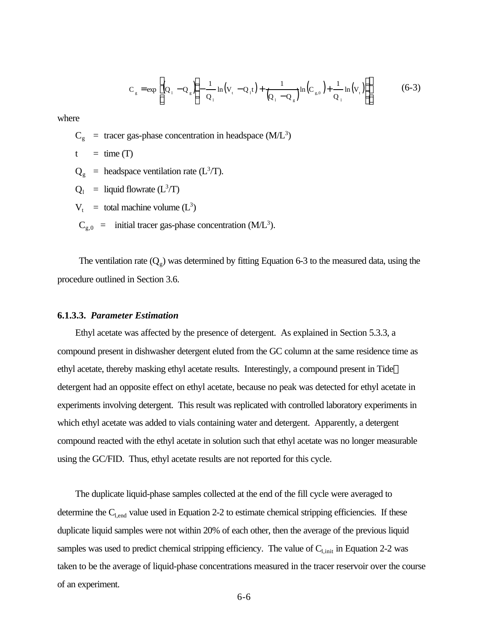$$
C_{g} = \exp\left[ (Q_{1} - Q_{g} \left( -\frac{1}{Q_{1}} \ln(V_{t} - Q_{1}t) + \frac{1}{(Q_{1} - Q_{g})} \ln(C_{g,0}) + \frac{1}{Q_{1}} \ln(V_{t}) \right) \right]
$$
(6-3)

where

- $C_g$  = tracer gas-phase concentration in headspace (M/L<sup>3</sup>)
- $t = \text{time (T)}$
- $Q_g$  = headspace ventilation rate (L<sup>3</sup>/T).
- $Q_1$  = liquid flowrate (L<sup>3</sup>/T)
- $V_t$  = total machine volume (L<sup>3</sup>)
- $C_{g,0}$  = initial tracer gas-phase concentration (M/L<sup>3</sup>).

The ventilation rate  $(Q_g)$  was determined by fitting Equation 6-3 to the measured data, using the procedure outlined in Section 3.6.

# **6.1.3.3.** *Parameter Estimation*

Ethyl acetate was affected by the presence of detergent. As explained in Section 5.3.3, a compound present in dishwasher detergent eluted from the GC column at the same residence time as ethyl acetate, thereby masking ethyl acetate results. Interestingly, a compound present in Tide<sup>™</sup> detergent had an opposite effect on ethyl acetate, because no peak was detected for ethyl acetate in experiments involving detergent. This result was replicated with controlled laboratory experiments in which ethyl acetate was added to vials containing water and detergent. Apparently, a detergent compound reacted with the ethyl acetate in solution such that ethyl acetate was no longer measurable using the GC/FID. Thus, ethyl acetate results are not reported for this cycle.

The duplicate liquid-phase samples collected at the end of the fill cycle were averaged to determine the  $C_{l,end}$  value used in Equation 2-2 to estimate chemical stripping efficiencies. If these duplicate liquid samples were not within 20% of each other, then the average of the previous liquid samples was used to predict chemical stripping efficiency. The value of  $C_{1,init}$  in Equation 2-2 was taken to be the average of liquid-phase concentrations measured in the tracer reservoir over the course of an experiment.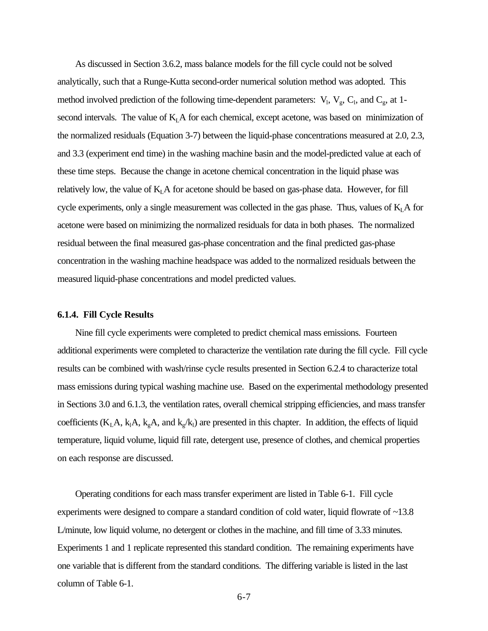As discussed in Section 3.6.2, mass balance models for the fill cycle could not be solved analytically, such that a Runge-Kutta second-order numerical solution method was adopted. This method involved prediction of the following time-dependent parameters:  $V_1$ ,  $V_g$ ,  $C_1$ , and  $C_g$ , at 1second intervals. The value of  $K<sub>L</sub>A$  for each chemical, except acetone, was based on minimization of the normalized residuals (Equation 3-7) between the liquid-phase concentrations measured at 2.0, 2.3, and 3.3 (experiment end time) in the washing machine basin and the model-predicted value at each of these time steps. Because the change in acetone chemical concentration in the liquid phase was relatively low, the value of  $K<sub>L</sub>A$  for acetone should be based on gas-phase data. However, for fill cycle experiments, only a single measurement was collected in the gas phase. Thus, values of  $K<sub>L</sub>A$  for acetone were based on minimizing the normalized residuals for data in both phases. The normalized residual between the final measured gas-phase concentration and the final predicted gas-phase concentration in the washing machine headspace was added to the normalized residuals between the measured liquid-phase concentrations and model predicted values.

## **6.1.4. Fill Cycle Results**

Nine fill cycle experiments were completed to predict chemical mass emissions. Fourteen additional experiments were completed to characterize the ventilation rate during the fill cycle. Fill cycle results can be combined with wash/rinse cycle results presented in Section 6.2.4 to characterize total mass emissions during typical washing machine use. Based on the experimental methodology presented in Sections 3.0 and 6.1.3, the ventilation rates, overall chemical stripping efficiencies, and mass transfer coefficients ( $K_L A$ ,  $k_A A$ ,  $k_g A$ , and  $k_g / k_l$ ) are presented in this chapter. In addition, the effects of liquid temperature, liquid volume, liquid fill rate, detergent use, presence of clothes, and chemical properties on each response are discussed.

Operating conditions for each mass transfer experiment are listed in Table 6-1. Fill cycle experiments were designed to compare a standard condition of cold water, liquid flowrate of ~13.8 L/minute, low liquid volume, no detergent or clothes in the machine, and fill time of 3.33 minutes. Experiments 1 and 1 replicate represented this standard condition. The remaining experiments have one variable that is different from the standard conditions. The differing variable is listed in the last column of Table 6-1.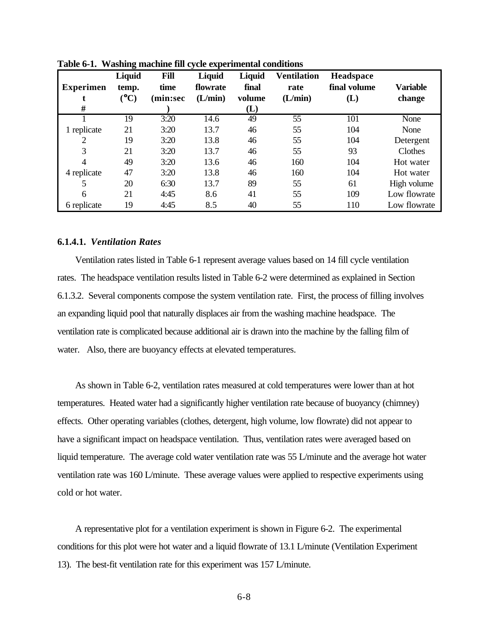| <b>Experimen</b> | o<br>Liquid<br>temp. | Fill<br>time | Liquid<br>flowrate | Liquid<br>final | <b>Ventilation</b><br>rate | Headspace<br>final volume | <b>Variable</b> |
|------------------|----------------------|--------------|--------------------|-----------------|----------------------------|---------------------------|-----------------|
|                  | $\rm ^{(o}C)$        | min:sec)     | (L/min)            | volume          | (L/min)                    | (L)                       | change          |
| #                |                      |              |                    | (L)             |                            |                           |                 |
|                  | 19                   | 3:20         | 14.6               | 49              | 55                         | 101                       | None            |
| 1 replicate      | 21                   | 3:20         | 13.7               | 46              | 55                         | 104                       | None            |
| $\overline{2}$   | 19                   | 3:20         | 13.8               | 46              | 55                         | 104                       | Detergent       |
| 3                | 21                   | 3:20         | 13.7               | 46              | 55                         | 93                        | Clothes         |
| 4                | 49                   | 3:20         | 13.6               | 46              | 160                        | 104                       | Hot water       |
| 4 replicate      | 47                   | 3:20         | 13.8               | 46              | 160                        | 104                       | Hot water       |
| 5                | 20                   | 6:30         | 13.7               | 89              | 55                         | 61                        | High volume     |
| 6                | 21                   | 4:45         | 8.6                | 41              | 55                         | 109                       | Low flowrate    |
| 6 replicate      | 19                   | 4:45         | 8.5                | 40              | 55                         | 110                       | Low flowrate    |

**Table 6-1. Washing machine fill cycle experimental conditions**

# **6.1.4.1.** *Ventilation Rates*

Ventilation rates listed in Table 6-1 represent average values based on 14 fill cycle ventilation rates. The headspace ventilation results listed in Table 6-2 were determined as explained in Section 6.1.3.2. Several components compose the system ventilation rate. First, the process of filling involves an expanding liquid pool that naturally displaces air from the washing machine headspace. The ventilation rate is complicated because additional air is drawn into the machine by the falling film of water. Also, there are buoyancy effects at elevated temperatures.

As shown in Table 6-2, ventilation rates measured at cold temperatures were lower than at hot temperatures. Heated water had a significantly higher ventilation rate because of buoyancy (chimney) effects. Other operating variables (clothes, detergent, high volume, low flowrate) did not appear to have a significant impact on headspace ventilation. Thus, ventilation rates were averaged based on liquid temperature. The average cold water ventilation rate was 55 L/minute and the average hot water ventilation rate was 160 L/minute. These average values were applied to respective experiments using cold or hot water.

A representative plot for a ventilation experiment is shown in Figure 6-2. The experimental conditions for this plot were hot water and a liquid flowrate of 13.1 L/minute (Ventilation Experiment 13). The best-fit ventilation rate for this experiment was 157 L/minute.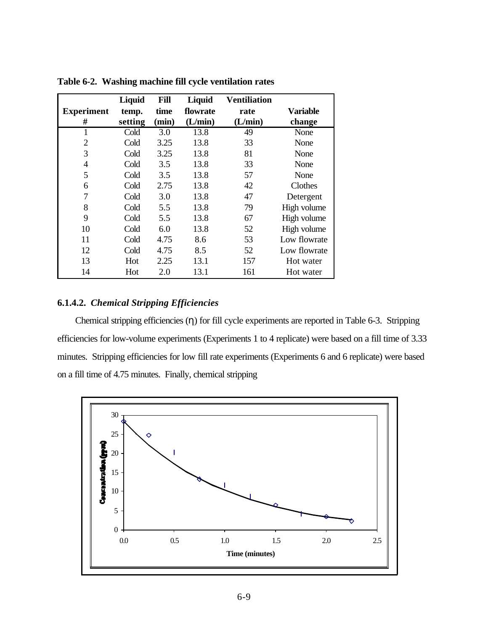|                   | Liquid  | <b>Fill</b> | Liquid   | <b>Ventiliation</b> |                 |
|-------------------|---------|-------------|----------|---------------------|-----------------|
| <b>Experiment</b> | temp.   | time        | flowrate | rate                | <b>Variable</b> |
| #                 | setting | (min)       | (L/min)  | (L/min)             | change          |
| $\mathbf{1}$      | Cold    | 3.0         | 13.8     | 49                  | None            |
| 2                 | Cold    | 3.25        | 13.8     | 33                  | None            |
| 3                 | Cold    | 3.25        | 13.8     | 81                  | None            |
| 4                 | Cold    | 3.5         | 13.8     | 33                  | None            |
| 5                 | Cold    | 3.5         | 13.8     | 57                  | None            |
| 6                 | Cold    | 2.75        | 13.8     | 42                  | Clothes         |
| 7                 | Cold    | 3.0         | 13.8     | 47                  | Detergent       |
| 8                 | Cold    | 5.5         | 13.8     | 79                  | High volume     |
| 9                 | Cold    | 5.5         | 13.8     | 67                  | High volume     |
| 10                | Cold    | 6.0         | 13.8     | 52                  | High volume     |
| 11                | Cold    | 4.75        | 8.6      | 53                  | Low flowrate    |
| 12                | Cold    | 4.75        | 8.5      | 52                  | Low flowrate    |
| 13                | Hot     | 2.25        | 13.1     | 157                 | Hot water       |
| 14                | Hot     | 2.0         | 13.1     | 161                 | Hot water       |

**Table 6-2. Washing machine fill cycle ventilation rates**

# **6.1.4.2.** *Chemical Stripping Efficiencies*

 Chemical stripping efficiencies (η) for fill cycle experiments are reported in Table 6-3. Stripping efficiencies for low-volume experiments (Experiments 1 to 4 replicate) were based on a fill time of 3.33 minutes. Stripping efficiencies for low fill rate experiments (Experiments 6 and 6 replicate) were based on a fill time of 4.75 minutes. Finally, chemical stripping

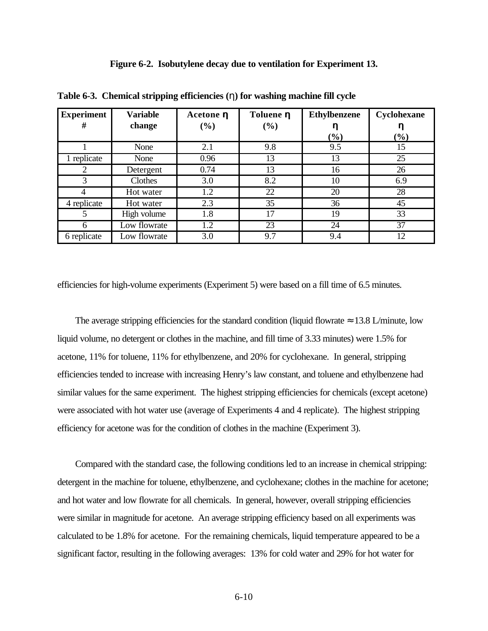|  | Figure 6-2. Isobutylene decay due to ventilation for Experiment 13. |  |
|--|---------------------------------------------------------------------|--|
|  |                                                                     |  |

| <b>Experiment</b><br># | <b>Variable</b><br>change | Acetone <b>h</b><br>$(\%)$ | Toluene <b>h</b><br>(%) | <b>Ethylbenzene</b> | Cyclohexane |
|------------------------|---------------------------|----------------------------|-------------------------|---------------------|-------------|
|                        |                           |                            |                         | $(\%)$              | $(\%)$      |
|                        | None                      | 2.1                        | 9.8                     | 9.5                 | 15          |
| replicate              | None                      | 0.96                       | 13                      | 13                  | 25          |
|                        | Detergent                 | 0.74                       | 13                      | 16                  | 26          |
| 3                      | Clothes                   | 3.0                        | 8.2                     | 10                  | 6.9         |
|                        | Hot water                 | 1.2                        | 22                      | 20                  | 28          |
| 4 replicate            | Hot water                 | 2.3                        | 35                      | 36                  | 45          |
| 5                      | High volume               | 1.8                        | 17                      | 19                  | 33          |
| 6                      | Low flowrate              | 1.2                        | 23                      | 24                  | 37          |
| 6 replicate            | Low flowrate              | 3.0                        | 9.7                     | 9.4                 | 12          |

**Table 6-3. Chemical stripping efficiencies (**η**) for washing machine fill cycle**

efficiencies for high-volume experiments (Experiment 5) were based on a fill time of 6.5 minutes.

The average stripping efficiencies for the standard condition (liquid flowrate  $\approx 13.8$  L/minute, low liquid volume, no detergent or clothes in the machine, and fill time of 3.33 minutes) were 1.5% for acetone, 11% for toluene, 11% for ethylbenzene, and 20% for cyclohexane. In general, stripping efficiencies tended to increase with increasing Henry's law constant, and toluene and ethylbenzene had similar values for the same experiment. The highest stripping efficiencies for chemicals (except acetone) were associated with hot water use (average of Experiments 4 and 4 replicate). The highest stripping efficiency for acetone was for the condition of clothes in the machine (Experiment 3).

Compared with the standard case, the following conditions led to an increase in chemical stripping: detergent in the machine for toluene, ethylbenzene, and cyclohexane; clothes in the machine for acetone; and hot water and low flowrate for all chemicals. In general, however, overall stripping efficiencies were similar in magnitude for acetone. An average stripping efficiency based on all experiments was calculated to be 1.8% for acetone. For the remaining chemicals, liquid temperature appeared to be a significant factor, resulting in the following averages: 13% for cold water and 29% for hot water for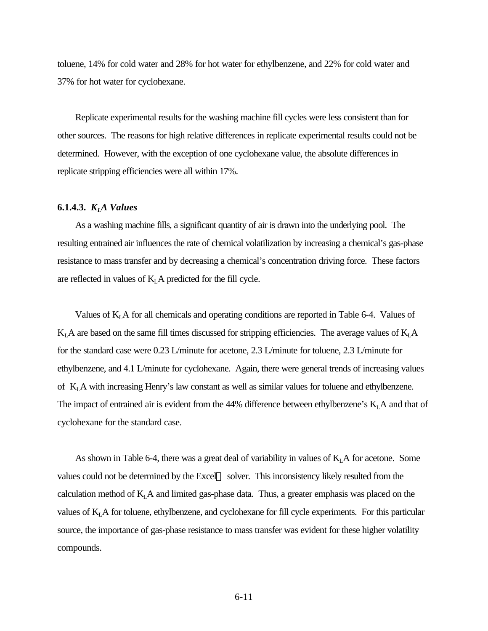toluene, 14% for cold water and 28% for hot water for ethylbenzene, and 22% for cold water and 37% for hot water for cyclohexane.

Replicate experimental results for the washing machine fill cycles were less consistent than for other sources. The reasons for high relative differences in replicate experimental results could not be determined. However, with the exception of one cyclohexane value, the absolute differences in replicate stripping efficiencies were all within 17%.

# **6.1.4.3.** *KLA Values*

As a washing machine fills, a significant quantity of air is drawn into the underlying pool. The resulting entrained air influences the rate of chemical volatilization by increasing a chemical's gas-phase resistance to mass transfer and by decreasing a chemical's concentration driving force. These factors are reflected in values of  $K<sub>L</sub>A$  predicted for the fill cycle.

Values of  $K<sub>L</sub>A$  for all chemicals and operating conditions are reported in Table 6-4. Values of  $K<sub>L</sub>A$  are based on the same fill times discussed for stripping efficiencies. The average values of  $K<sub>L</sub>A$ for the standard case were 0.23 L/minute for acetone, 2.3 L/minute for toluene, 2.3 L/minute for ethylbenzene, and 4.1 L/minute for cyclohexane. Again, there were general trends of increasing values of KLA with increasing Henry's law constant as well as similar values for toluene and ethylbenzene. The impact of entrained air is evident from the 44% difference between ethylbenzene's  $K<sub>L</sub>A$  and that of cyclohexane for the standard case.

As shown in Table 6-4, there was a great deal of variability in values of  $K<sub>L</sub>A$  for acetone. Some values could not be determined by the Excel<sup>TM</sup> solver. This inconsistency likely resulted from the calculation method of  $K<sub>L</sub>A$  and limited gas-phase data. Thus, a greater emphasis was placed on the values of  $K<sub>L</sub>A$  for toluene, ethylbenzene, and cyclohexane for fill cycle experiments. For this particular source, the importance of gas-phase resistance to mass transfer was evident for these higher volatility compounds.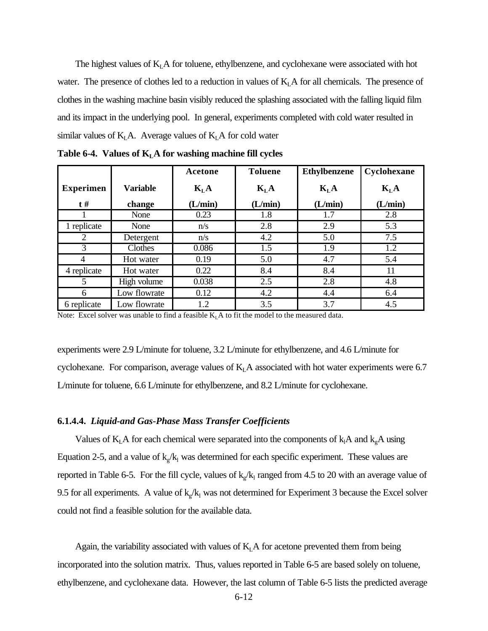The highest values of  $K<sub>L</sub>A$  for toluene, ethylbenzene, and cyclohexane were associated with hot water. The presence of clothes led to a reduction in values of  $K<sub>L</sub>A$  for all chemicals. The presence of clothes in the washing machine basin visibly reduced the splashing associated with the falling liquid film and its impact in the underlying pool. In general, experiments completed with cold water resulted in similar values of  $K<sub>L</sub>A$ . Average values of  $K<sub>L</sub>A$  for cold water

|                  |                 | Acetone  | <b>Toluene</b> | <b>Ethylbenzene</b> | Cyclohexane |
|------------------|-----------------|----------|----------------|---------------------|-------------|
| <b>Experimen</b> | <b>Variable</b> | $K_{L}A$ | $K_{L}A$       | $K_{L}A$            | $K_{L}A$    |
| $t \#$           | change          | (L/min)  | (L/min)        | (L/min)             | (L/min)     |
|                  | None            | 0.23     | 1.8            | 1.7                 | 2.8         |
| 1 replicate      | None            | n/s      | 2.8            | 2.9                 | 5.3         |
| 2                | Detergent       | n/s      | 4.2            | 5.0                 | 7.5         |
| 3                | Clothes         | 0.086    | 1.5            | 1.9                 | 1.2         |
| 4                | Hot water       | 0.19     | 5.0            | 4.7                 | 5.4         |
| 4 replicate      | Hot water       | 0.22     | 8.4            | 8.4                 | 11          |
| 5                | High volume     | 0.038    | 2.5            | 2.8                 | 4.8         |
| 6                | Low flowrate    | 0.12     | 4.2            | 4.4                 | 6.4         |
| 6 replicate      | Low flowrate    | 1.2      | 3.5            | 3.7                 | 4.5         |

**Table 6-4. Values of KLA for washing machine fill cycles**

Note: Excel solver was unable to find a feasible  $K<sub>L</sub>A$  to fit the model to the measured data.

experiments were 2.9 L/minute for toluene, 3.2 L/minute for ethylbenzene, and 4.6 L/minute for cyclohexane. For comparison, average values of  $K<sub>L</sub>A$  associated with hot water experiments were 6.7 L/minute for toluene, 6.6 L/minute for ethylbenzene, and 8.2 L/minute for cyclohexane.

#### **6.1.4.4.** *Liquid-and Gas-Phase Mass Transfer Coefficients*

Values of  $K<sub>L</sub>A$  for each chemical were separated into the components of  $k<sub>1</sub>A$  and  $k<sub>g</sub>A$  using Equation 2-5, and a value of  $k_g/k_l$  was determined for each specific experiment. These values are reported in Table 6-5. For the fill cycle, values of  $k_g/k_l$  ranged from 4.5 to 20 with an average value of 9.5 for all experiments. A value of  $k_g/k_l$  was not determined for Experiment 3 because the Excel solver could not find a feasible solution for the available data.

Again, the variability associated with values of  $K<sub>L</sub>A$  for acetone prevented them from being incorporated into the solution matrix. Thus, values reported in Table 6-5 are based solely on toluene, ethylbenzene, and cyclohexane data. However, the last column of Table 6-5 lists the predicted average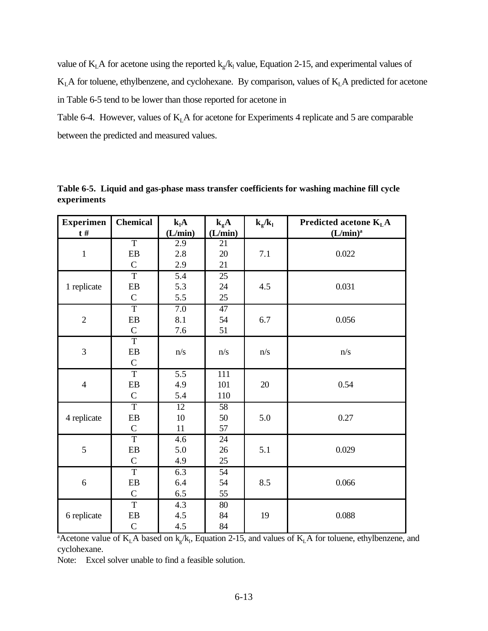value of  $K<sub>L</sub>A$  for acetone using the reported  $k<sub>g</sub>/k<sub>1</sub>$  value, Equation 2-15, and experimental values of  $K<sub>L</sub>A$  for toluene, ethylbenzene, and cyclohexane. By comparison, values of  $K<sub>L</sub>A$  predicted for acetone in Table 6-5 tend to be lower than those reported for acetone in

Table 6-4. However, values of  $K<sub>L</sub>A$  for acetone for Experiments 4 replicate and 5 are comparable between the predicted and measured values.

| <b>Experimen</b> | <b>Chemical</b> | $k_lA$           | $k_{g}A$        | $k_{g}/k_{l}$ | Predicted acetone $KLA$ |
|------------------|-----------------|------------------|-----------------|---------------|-------------------------|
| $t \#$           |                 | (L/min)          | (L/min)         |               | $(L/min)^a$             |
|                  | T               | 2.9              | 21              |               |                         |
| $\,1\,$          | ${\bf EB}$      | 2.8              | $20\,$          | 7.1           | 0.022                   |
|                  | $\mathcal{C}$   | 2.9              | 21              |               |                         |
|                  | $\overline{T}$  | $\overline{5.4}$ | 25              |               |                         |
| 1 replicate      | EB              | 5.3              | 24              | 4.5           | 0.031                   |
|                  | $\mathbf C$     | 5.5              | 25              |               |                         |
|                  | $\overline{T}$  | $\overline{7.0}$ | 47              |               |                         |
| $\sqrt{2}$       | ${\bf EB}$      | 8.1              | 54              | 6.7           | 0.056                   |
|                  | $\mathcal{C}$   | 7.6              | 51              |               |                         |
|                  | T               |                  |                 |               |                         |
| 3                | EB              | n/s              | n/s             | n/s           | n/s                     |
|                  | $\mathsf{C}$    |                  |                 |               |                         |
|                  | $\overline{T}$  | $\overline{5.5}$ | 111             |               |                         |
| $\overline{4}$   | EB              | 4.9              | 101             | 20            | 0.54                    |
|                  | $\mathsf{C}$    | 5.4              | 110             |               |                         |
|                  | $\overline{T}$  | $\overline{12}$  | 58              |               |                         |
| 4 replicate      | EB              | 10               | 50              | 5.0           | 0.27                    |
|                  | $\mathcal{C}$   | $11\,$           | 57              |               |                         |
|                  | $\overline{T}$  | 4.6              | $\overline{24}$ |               |                         |
| 5                | ${\rm EB}$      | 5.0              | 26              | 5.1           | 0.029                   |
|                  | $\mathcal{C}$   | 4.9              | 25              |               |                         |
|                  | $\overline{T}$  | 6.3              | 54              |               |                         |
| $\sqrt{6}$       | EB              | 6.4              | 54              | 8.5           | 0.066                   |
|                  | $\mathsf C$     | $6.5\,$          | 55              |               |                         |
|                  | $\overline{T}$  | 4.3              | 80              |               |                         |
| 6 replicate      | EB              | 4.5              | 84              | 19            | 0.088                   |
|                  | $\mathsf{C}$    | 4.5              | 84              |               |                         |

**Table 6-5. Liquid and gas-phase mass transfer coefficients for washing machine fill cycle experiments**

<sup>a</sup>Acetone value of  $K<sub>L</sub>A$  based on  $k_g/k_l$ , Equation 2-15, and values of  $K<sub>L</sub>A$  for toluene, ethylbenzene, and cyclohexane.

Note: Excel solver unable to find a feasible solution.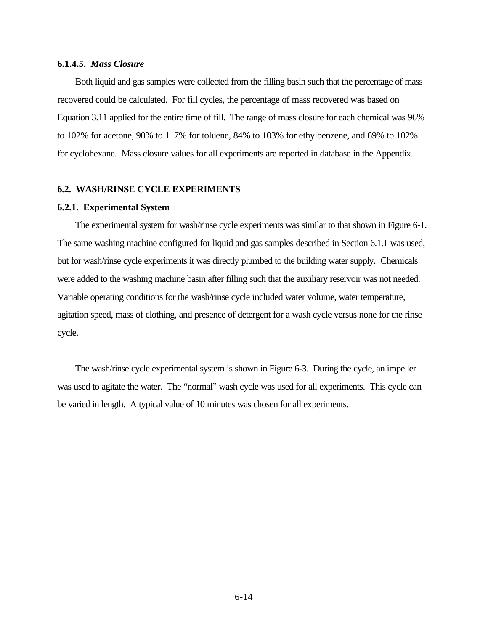# **6.1.4.5.** *Mass Closure*

Both liquid and gas samples were collected from the filling basin such that the percentage of mass recovered could be calculated. For fill cycles, the percentage of mass recovered was based on Equation 3.11 applied for the entire time of fill. The range of mass closure for each chemical was 96% to 102% for acetone, 90% to 117% for toluene, 84% to 103% for ethylbenzene, and 69% to 102% for cyclohexane. Mass closure values for all experiments are reported in database in the Appendix.

# **6.2. WASH/RINSE CYCLE EXPERIMENTS**

## **6.2.1. Experimental System**

The experimental system for wash/rinse cycle experiments was similar to that shown in Figure 6-1. The same washing machine configured for liquid and gas samples described in Section 6.1.1 was used, but for wash/rinse cycle experiments it was directly plumbed to the building water supply. Chemicals were added to the washing machine basin after filling such that the auxiliary reservoir was not needed. Variable operating conditions for the wash/rinse cycle included water volume, water temperature, agitation speed, mass of clothing, and presence of detergent for a wash cycle versus none for the rinse cycle.

The wash/rinse cycle experimental system is shown in Figure 6-3. During the cycle, an impeller was used to agitate the water. The "normal" wash cycle was used for all experiments. This cycle can be varied in length. A typical value of 10 minutes was chosen for all experiments.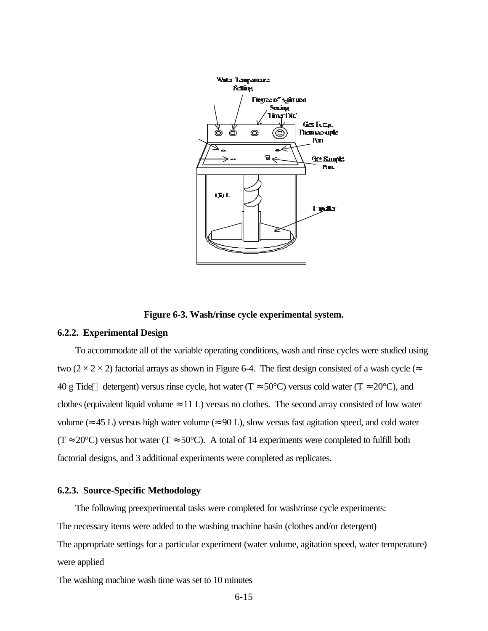

**Figure 6-3. Wash/rinse cycle experimental system.**

#### **6.2.2. Experimental Design**

To accommodate all of the variable operating conditions, wash and rinse cycles were studied using two ( $2 \times 2 \times 2$ ) factorial arrays as shown in Figure 6-4. The first design consisted of a wash cycle ( $\approx$ 40 g Tide<sup>™</sup> detergent) versus rinse cycle, hot water (T  $\approx$  50°C) versus cold water (T  $\approx$  20°C), and clothes (equivalent liquid volume  $\approx$  11 L) versus no clothes. The second array consisted of low water volume ( $\approx$  45 L) versus high water volume ( $\approx$  90 L), slow versus fast agitation speed, and cold water  $(T \approx 20^{\circ}C)$  versus hot water  $(T \approx 50^{\circ}C)$ . A total of 14 experiments were completed to fulfill both factorial designs, and 3 additional experiments were completed as replicates.

# **6.2.3. Source-Specific Methodology**

The following preexperimental tasks were completed for wash/rinse cycle experiments: The necessary items were added to the washing machine basin (clothes and/or detergent) The appropriate settings for a particular experiment (water volume, agitation speed, water temperature) were applied

The washing machine wash time was set to 10 minutes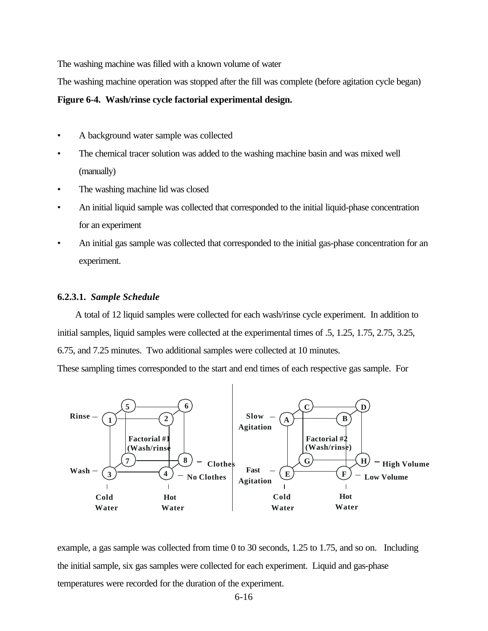The washing machine was filled with a known volume of water

The washing machine operation was stopped after the fill was complete (before agitation cycle began)

#### **Figure 6-4. Wash/rinse cycle factorial experimental design.**

- A background water sample was collected
- The chemical tracer solution was added to the washing machine basin and was mixed well (manually)
- The washing machine lid was closed
- An initial liquid sample was collected that corresponded to the initial liquid-phase concentration for an experiment
- An initial gas sample was collected that corresponded to the initial gas-phase concentration for an experiment.

#### **6.2.3.1.** *Sample Schedule*

A total of 12 liquid samples were collected for each wash/rinse cycle experiment. In addition to initial samples, liquid samples were collected at the experimental times of .5, 1.25, 1.75, 2.75, 3.25, 6.75, and 7.25 minutes. Two additional samples were collected at 10 minutes.

These sampling times corresponded to the start and end times of each respective gas sample. For



example, a gas sample was collected from time 0 to 30 seconds, 1.25 to 1.75, and so on. Including the initial sample, six gas samples were collected for each experiment. Liquid and gas-phase temperatures were recorded for the duration of the experiment.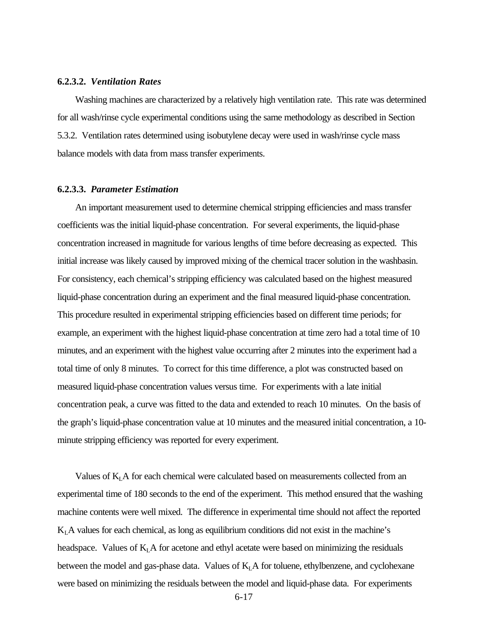#### **6.2.3.2.** *Ventilation Rates*

Washing machines are characterized by a relatively high ventilation rate. This rate was determined for all wash/rinse cycle experimental conditions using the same methodology as described in Section 5.3.2. Ventilation rates determined using isobutylene decay were used in wash/rinse cycle mass balance models with data from mass transfer experiments.

## **6.2.3.3.** *Parameter Estimation*

An important measurement used to determine chemical stripping efficiencies and mass transfer coefficients was the initial liquid-phase concentration. For several experiments, the liquid-phase concentration increased in magnitude for various lengths of time before decreasing as expected. This initial increase was likely caused by improved mixing of the chemical tracer solution in the washbasin. For consistency, each chemical's stripping efficiency was calculated based on the highest measured liquid-phase concentration during an experiment and the final measured liquid-phase concentration. This procedure resulted in experimental stripping efficiencies based on different time periods; for example, an experiment with the highest liquid-phase concentration at time zero had a total time of 10 minutes, and an experiment with the highest value occurring after 2 minutes into the experiment had a total time of only 8 minutes. To correct for this time difference, a plot was constructed based on measured liquid-phase concentration values versus time. For experiments with a late initial concentration peak, a curve was fitted to the data and extended to reach 10 minutes. On the basis of the graph's liquid-phase concentration value at 10 minutes and the measured initial concentration, a 10 minute stripping efficiency was reported for every experiment.

Values of  $K<sub>L</sub>A$  for each chemical were calculated based on measurements collected from an experimental time of 180 seconds to the end of the experiment. This method ensured that the washing machine contents were well mixed. The difference in experimental time should not affect the reported  $K<sub>L</sub>A$  values for each chemical, as long as equilibrium conditions did not exist in the machine's headspace. Values of  $K<sub>L</sub>A$  for acetone and ethyl acetate were based on minimizing the residuals between the model and gas-phase data. Values of  $K<sub>L</sub>A$  for toluene, ethylbenzene, and cyclohexane were based on minimizing the residuals between the model and liquid-phase data. For experiments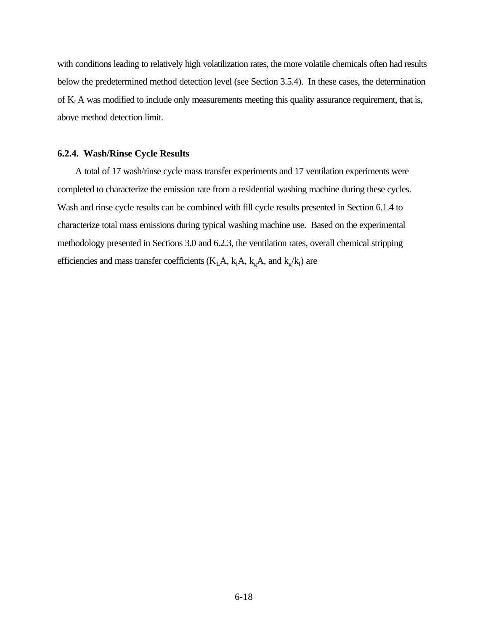with conditions leading to relatively high volatilization rates, the more volatile chemicals often had results below the predetermined method detection level (see Section 3.5.4). In these cases, the determination of KLA was modified to include only measurements meeting this quality assurance requirement, that is, above method detection limit.

## **6.2.4. Wash/Rinse Cycle Results**

A total of 17 wash/rinse cycle mass transfer experiments and 17 ventilation experiments were completed to characterize the emission rate from a residential washing machine during these cycles. Wash and rinse cycle results can be combined with fill cycle results presented in Section 6.1.4 to characterize total mass emissions during typical washing machine use. Based on the experimental methodology presented in Sections 3.0 and 6.2.3, the ventilation rates, overall chemical stripping efficiencies and mass transfer coefficients ( $K<sub>L</sub>A$ ,  $k<sub>L</sub>A$ ,  $k<sub>g</sub>A$ , and  $k<sub>g</sub>/k<sub>L</sub>$ ) are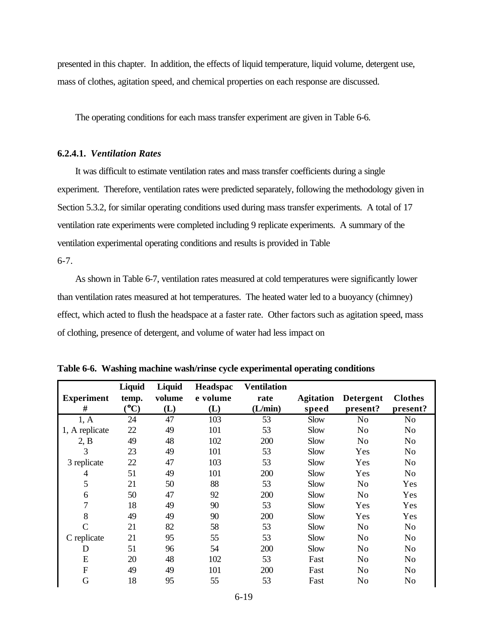presented in this chapter. In addition, the effects of liquid temperature, liquid volume, detergent use, mass of clothes, agitation speed, and chemical properties on each response are discussed.

The operating conditions for each mass transfer experiment are given in Table 6-6.

# **6.2.4.1.** *Ventilation Rates*

It was difficult to estimate ventilation rates and mass transfer coefficients during a single experiment. Therefore, ventilation rates were predicted separately, following the methodology given in Section 5.3.2, for similar operating conditions used during mass transfer experiments. A total of 17 ventilation rate experiments were completed including 9 replicate experiments. A summary of the ventilation experimental operating conditions and results is provided in Table

6-7.

As shown in Table 6-7, ventilation rates measured at cold temperatures were significantly lower than ventilation rates measured at hot temperatures. The heated water led to a buoyancy (chimney) effect, which acted to flush the headspace at a faster rate. Other factors such as agitation speed, mass of clothing, presence of detergent, and volume of water had less impact on

|                   | Liquid | Liquid | Headspac | <b>Ventilation</b> |                  |                  |                |
|-------------------|--------|--------|----------|--------------------|------------------|------------------|----------------|
| <b>Experiment</b> | temp.  | volume | e volume | rate               | <b>Agitation</b> | <b>Detergent</b> | <b>Clothes</b> |
| #                 | (C)    | (L)    | (L)      | (L/min)            | speed            | present?         | present?       |
| 1, A              | 24     | 47     | 103      | 53                 | Slow             | N <sub>0</sub>   | N <sub>0</sub> |
| 1, A replicate    | 22     | 49     | 101      | 53                 | Slow             | N <sub>0</sub>   | No             |
| 2, B              | 49     | 48     | 102      | 200                | <b>Slow</b>      | No               | No             |
| 3                 | 23     | 49     | 101      | 53                 | Slow             | Yes              | N <sub>0</sub> |
| 3 replicate       | 22     | 47     | 103      | 53                 | Slow             | Yes              | N <sub>0</sub> |
| $\overline{4}$    | 51     | 49     | 101      | 200                | Slow             | Yes              | N <sub>0</sub> |
| 5                 | 21     | 50     | 88       | 53                 | Slow             | N <sub>o</sub>   | Yes            |
| 6                 | 50     | 47     | 92       | 200                | Slow             | N <sub>o</sub>   | Yes            |
| 7                 | 18     | 49     | 90       | 53                 | Slow             | Yes              | Yes            |
| 8                 | 49     | 49     | 90       | 200                | Slow             | Yes              | Yes            |
| $\overline{C}$    | 21     | 82     | 58       | 53                 | Slow             | N <sub>o</sub>   | N <sub>o</sub> |
| C replicate       | 21     | 95     | 55       | 53                 | Slow             | No               | N <sub>0</sub> |
| D                 | 51     | 96     | 54       | 200                | Slow             | N <sub>o</sub>   | N <sub>0</sub> |
| E                 | 20     | 48     | 102      | 53                 | Fast             | No               | No             |
| F                 | 49     | 49     | 101      | 200                | Fast             | No               | No             |
| G                 | 18     | 95     | 55       | 53                 | Fast             | No               | No             |

**Table 6-6. Washing machine wash/rinse cycle experimental operating conditions**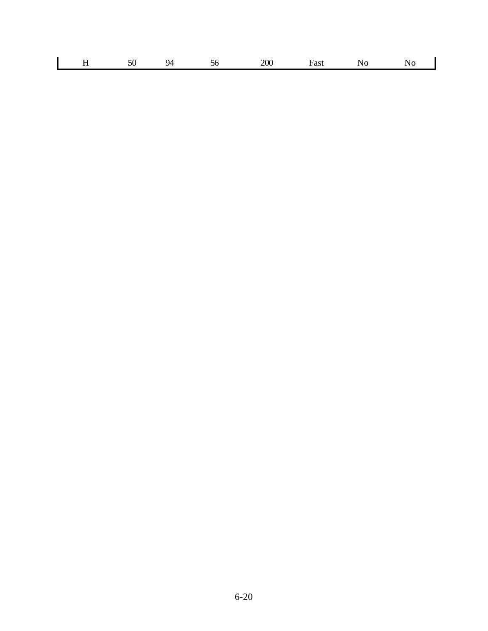| -- |  |
|----|--|
|----|--|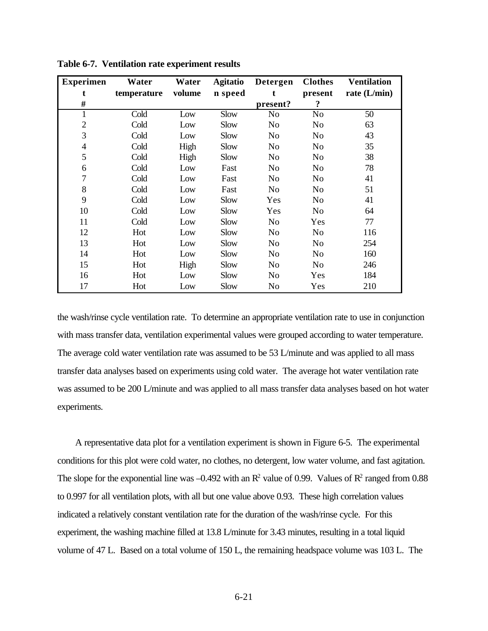| <b>Experimen</b> | Water       | Water  | <b>Agitatio</b> | Detergen       | <b>Clothes</b> | <b>Ventilation</b> |
|------------------|-------------|--------|-----------------|----------------|----------------|--------------------|
| t                | temperature | volume | n speed         | t.             | present        | rate $(L/min)$     |
| #                |             |        |                 | present?       | $\ddot{\cdot}$ |                    |
| 1                | Cold        | Low    | Slow            | N <sub>0</sub> | N <sub>o</sub> | 50                 |
| $\overline{2}$   | Cold        | Low    | Slow            | N <sub>o</sub> | N <sub>o</sub> | 63                 |
| 3                | Cold        | Low    | Slow            | N <sub>0</sub> | N <sub>o</sub> | 43                 |
| $\overline{4}$   | Cold        | High   | Slow            | N <sub>0</sub> | N <sub>o</sub> | 35                 |
| 5                | Cold        | High   | Slow            | N <sub>0</sub> | N <sub>o</sub> | 38                 |
| 6                | Cold        | Low    | Fast            | N <sub>0</sub> | N <sub>o</sub> | 78                 |
| 7                | Cold        | Low    | Fast            | No             | No             | 41                 |
| 8                | Cold        | Low    | Fast            | N <sub>0</sub> | No             | 51                 |
| 9                | Cold        | Low    | Slow            | Yes            | No             | 41                 |
| 10               | Cold        | Low    | Slow            | Yes            | N <sub>0</sub> | 64                 |
| 11               | Cold        | Low    | Slow            | N <sub>0</sub> | Yes            | 77                 |
| 12               | Hot         | Low    | <b>Slow</b>     | N <sub>0</sub> | N <sub>0</sub> | 116                |
| 13               | Hot         | Low    | Slow            | N <sub>o</sub> | N <sub>o</sub> | 254                |
| 14               | Hot         | Low    | Slow            | N <sub>0</sub> | N <sub>o</sub> | 160                |
| 15               | Hot         | High   | Slow            | N <sub>0</sub> | N <sub>o</sub> | 246                |
| 16               | Hot         | Low    | Slow            | N <sub>0</sub> | Yes            | 184                |
| 17               | Hot         | Low    | Slow            | No             | Yes            | 210                |

**Table 6-7. Ventilation rate experiment results**

the wash/rinse cycle ventilation rate. To determine an appropriate ventilation rate to use in conjunction with mass transfer data, ventilation experimental values were grouped according to water temperature. The average cold water ventilation rate was assumed to be 53 L/minute and was applied to all mass transfer data analyses based on experiments using cold water. The average hot water ventilation rate was assumed to be 200 L/minute and was applied to all mass transfer data analyses based on hot water experiments.

A representative data plot for a ventilation experiment is shown in Figure 6-5. The experimental conditions for this plot were cold water, no clothes, no detergent, low water volume, and fast agitation. The slope for the exponential line was  $-0.492$  with an  $\mathbb{R}^2$  value of 0.99. Values of  $\mathbb{R}^2$  ranged from 0.88 to 0.997 for all ventilation plots, with all but one value above 0.93. These high correlation values indicated a relatively constant ventilation rate for the duration of the wash/rinse cycle. For this experiment, the washing machine filled at 13.8 L/minute for 3.43 minutes, resulting in a total liquid volume of 47 L. Based on a total volume of 150 L, the remaining headspace volume was 103 L. The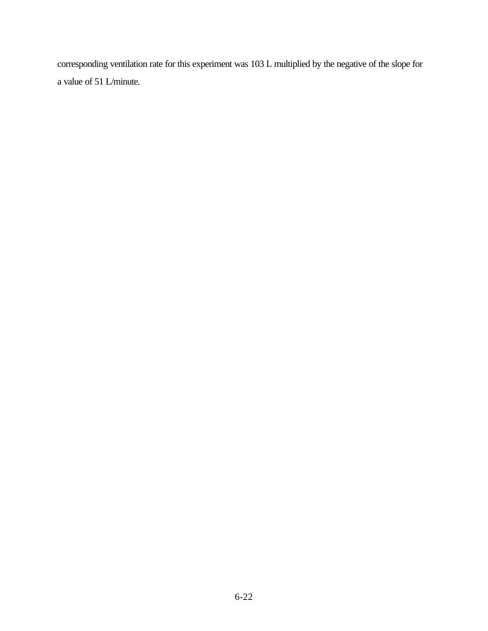corresponding ventilation rate for this experiment was 103 L multiplied by the negative of the slope for a value of 51 L/minute.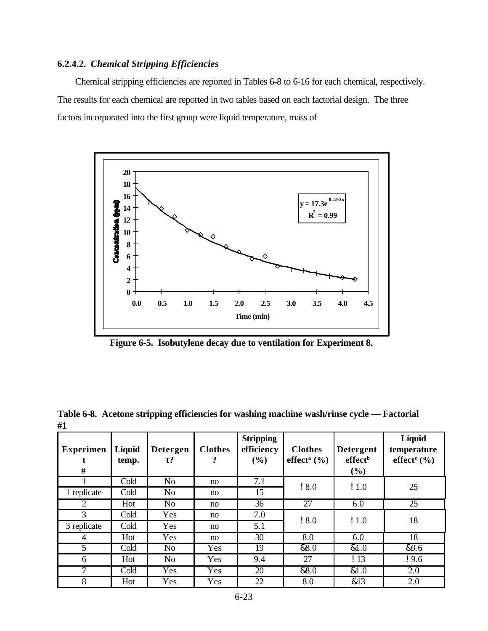# **6.2.4.2.** *Chemical Stripping Efficiencies*

Chemical stripping efficiencies are reported in Tables 6-8 to 6-16 for each chemical, respectively. The results for each chemical are reported in two tables based on each factorial design. The three factors incorporated into the first group were liquid temperature, mass of



**Figure 6-5. Isobutylene decay due to ventilation for Experiment 8.**

| 11 L                       |                 |                          |                     |                                       |                                               |                                                |                                                      |
|----------------------------|-----------------|--------------------------|---------------------|---------------------------------------|-----------------------------------------------|------------------------------------------------|------------------------------------------------------|
| <b>Experimen</b><br>t<br># | Liquid<br>temp. | <b>Detergen</b><br>$t$ ? | <b>Clothes</b><br>? | <b>Stripping</b><br>efficiency<br>(%) | <b>Clothes</b><br>effect <sup>a</sup> $(\% )$ | <b>Detergent</b><br>effect <sup>b</sup><br>(%) | Liquid<br>temperature<br>effect <sup>c</sup> $(\% )$ |
|                            | Cold            | N <sub>o</sub>           | no                  | 7.1                                   | 18.0                                          | $\frac{1}{2}$ 1.0                              | 25                                                   |
| 1 replicate                | Cold            | N <sub>o</sub>           | no                  | 15                                    |                                               |                                                |                                                      |
| 2                          | Hot             | N <sub>o</sub>           | no                  | 36                                    | 27                                            | 6.0                                            | 25                                                   |
| 3                          | Cold            | Yes                      | no                  | 7.0                                   | 18.0                                          | $\frac{1}{2}$ 1.0                              | 18                                                   |
| 3 replicate                | Cold            | Yes                      | no                  | 5.1                                   |                                               |                                                |                                                      |
| 4                          | Hot             | Yes                      | no                  | 30                                    | 8.0                                           | 6.0                                            | 18                                                   |
| 5                          | Cold            | N <sub>o</sub>           | Yes                 | 19                                    | &8.0                                          | &1.0                                           | &9.6                                                 |
| 6                          | Hot             | N <sub>0</sub>           | Yes                 | 9.4                                   | 27                                            | $\frac{113}{}$                                 | 19.6                                                 |
| 7                          | Cold            | Yes                      | Yes                 | 20                                    | &8.0                                          | &1.0                                           | 2.0                                                  |
| 8                          | Hot             | Yes                      | Yes                 | 22                                    | 8.0                                           | &13                                            | 2.0                                                  |

**Table 6-8. Acetone stripping efficiencies for washing machine wash/rinse cycle — Factorial #1**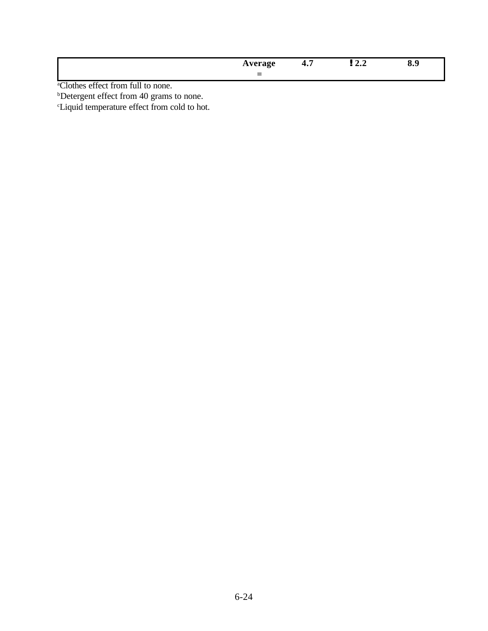|                                    | Average | ٠., | : 4.4 | 0.z |
|------------------------------------|---------|-----|-------|-----|
|                                    |         |     |       |     |
| a Clothog offect from full to none |         |     |       |     |

<sup>b</sup>Detergent effect from 40 grams to none.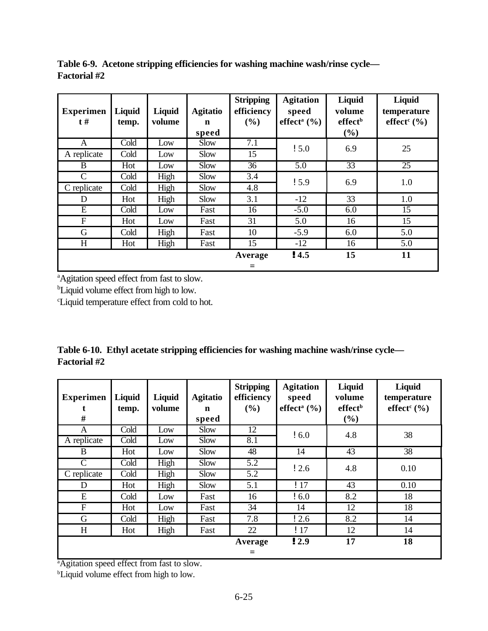**Table 6-9. Acetone stripping efficiencies for washing machine wash/rinse cycle— Factorial #2**

| <b>Experimen</b><br>$t \#$ | Liquid<br>temp. | Liquid<br>volume | <b>Agitatio</b><br>$\mathbf n$<br>speed | <b>Stripping</b><br>efficiency<br>(%) | <b>Agitation</b><br>speed<br>effect <sup>a</sup> $(\% )$ | Liquid<br>volume<br>effect <sup>b</sup><br>$(\%)$ | Liquid<br>temperature<br>effect $c$ (%) |
|----------------------------|-----------------|------------------|-----------------------------------------|---------------------------------------|----------------------------------------------------------|---------------------------------------------------|-----------------------------------------|
| A                          | Cold            | Low              | Slow                                    | $\overline{7.1}$                      | 15.0                                                     | 6.9                                               | 25                                      |
| A replicate                | Cold            | Low              | Slow                                    | 15                                    |                                                          |                                                   |                                         |
| B                          | Hot             | Low              | Slow                                    | 36                                    | 5.0                                                      | 33                                                | 25                                      |
| C                          | Cold            | High             | Slow                                    | 3.4                                   | 15.9                                                     | 6.9                                               | 1.0                                     |
| C replicate                | Cold            | High             | Slow                                    | 4.8                                   |                                                          |                                                   |                                         |
| D                          | Hot             | High             | Slow                                    | 3.1                                   | $-12$                                                    | 33                                                | 1.0                                     |
| E                          | Cold            | Low              | Fast                                    | 16                                    | $-5.0$                                                   | 6.0                                               | 15                                      |
| F                          | Hot             | Low              | Fast                                    | 31                                    | 5.0                                                      | 16                                                | 15                                      |
| G                          | Cold            | High             | Fast                                    | 10                                    | $-5.9$                                                   | 6.0                                               | 5.0                                     |
| H                          | Hot             | High             | Fast                                    | 15                                    | $-12$                                                    | 16                                                | 5.0                                     |
|                            |                 |                  |                                         | Average<br>⋍                          | !4.5                                                     | 15                                                | 11                                      |

<sup>b</sup>Liquid volume effect from high to low.

<sup>c</sup>Liquid temperature effect from cold to hot.

|                     | Table 6-10. Ethyl acetate stripping efficiencies for washing machine wash/rinse cycle— |  |
|---------------------|----------------------------------------------------------------------------------------|--|
| <b>Factorial</b> #2 |                                                                                        |  |

| <b>Experimen</b><br># | Liquid<br>temp. | Liquid<br>volume | <b>Agitatio</b><br>n<br>speed | <b>Stripping</b><br>efficiency<br>(%) | <b>Agitation</b><br>speed<br>effect <sup>a</sup> $(\frac{6}{6})$ | Liquid<br>volume<br>effect <sup>b</sup><br>(%) | Liquid<br>temperature<br>effect <sup>c</sup> $(\%)$ |
|-----------------------|-----------------|------------------|-------------------------------|---------------------------------------|------------------------------------------------------------------|------------------------------------------------|-----------------------------------------------------|
| A                     | Cold            | Low              | Slow                          | 12                                    | 16.0                                                             | 4.8                                            | 38                                                  |
| A replicate           | Cold            | Low              | Slow                          | 8.1                                   |                                                                  |                                                |                                                     |
| B                     | Hot             | Low              | Slow                          | 48                                    | 14                                                               | 43                                             | 38                                                  |
| C                     | Cold            | High             | Slow                          | 5.2                                   | $\frac{12.6}{2}$                                                 | 4.8                                            | 0.10                                                |
| C replicate           | Cold            | High             | Slow                          | 5.2                                   |                                                                  |                                                |                                                     |
| D                     | Hot             | High             | Slow                          | 5.1                                   | !17                                                              | 43                                             | 0.10                                                |
| E                     | Cold            | Low              | Fast                          | 16                                    | $\frac{1}{2}$ 6.0                                                | 8.2                                            | 18                                                  |
| $\mathbf{F}$          | Hot             | Low              | Fast                          | 34                                    | 14                                                               | 12                                             | 18                                                  |
| G                     | Cold            | High             | Fast                          | 7.8                                   | $\frac{1}{2.6}$                                                  | 8.2                                            | 14                                                  |
| H                     | Hot             | High             | Fast                          | 22                                    | !17                                                              | 12                                             | 14                                                  |
|                       |                 |                  |                               | Average                               | !2.9                                                             | 17                                             | 18                                                  |
|                       |                 |                  |                               | =                                     |                                                                  |                                                |                                                     |

<sup>a</sup>Agitation speed effect from fast to slow.

<sup>b</sup>Liquid volume effect from high to low.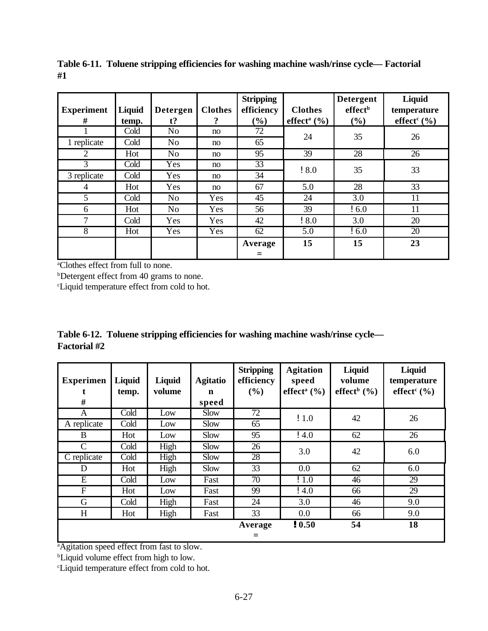| <b>Experiment</b><br># | Liquid<br>temp. | <b>Detergen</b><br>$t$ ? | <b>Clothes</b><br>$\boldsymbol{?}$ | <b>Stripping</b><br>efficiency<br>$\left( \frac{6}{6} \right)$ | <b>Clothes</b><br>effect <sup>a</sup> $(\% )$ | <b>Detergent</b><br>effect <sup>b</sup><br>(%) | Liquid<br>temperature<br>effect <sup>c</sup> $(\% )$ |
|------------------------|-----------------|--------------------------|------------------------------------|----------------------------------------------------------------|-----------------------------------------------|------------------------------------------------|------------------------------------------------------|
|                        | Cold            | N <sub>0</sub>           | no                                 | 72                                                             |                                               |                                                |                                                      |
| 1 replicate            | Cold            | N <sub>0</sub>           | no                                 | 65                                                             | 24                                            | 35                                             | 26                                                   |
| $\overline{2}$         | Hot             | N <sub>o</sub>           | no                                 | 95                                                             | 39                                            | 28                                             | 26                                                   |
| 3                      | Cold            | Yes                      | no                                 | 33                                                             |                                               |                                                |                                                      |
| 3 replicate            | Cold            | Yes                      | no                                 | 34                                                             | 18.0                                          | 35                                             | 33                                                   |
| 4                      | Hot             | Yes                      | no                                 | 67                                                             | 5.0                                           | 28                                             | 33                                                   |
| 5                      | Cold            | N <sub>o</sub>           | Yes                                | 45                                                             | 24                                            | 3.0                                            | 11                                                   |
| 6                      | Hot             | N <sub>o</sub>           | Yes                                | 56                                                             | 39                                            | $\frac{1}{2}$ 6.0                              | 11                                                   |
| 7                      | Cold            | Yes                      | Yes                                | 42                                                             | 18.0                                          | 3.0                                            | 20                                                   |
| 8                      | Hot             | Yes                      | Yes                                | 62                                                             | 5.0                                           | $\frac{1}{2}$ 6.0                              | 20                                                   |
|                        |                 |                          |                                    | Average                                                        | 15                                            | 15                                             | 23                                                   |
|                        |                 |                          |                                    | $\equiv$                                                       |                                               |                                                |                                                      |

**Table 6-11. Toluene stripping efficiencies for washing machine wash/rinse cycle— Factorial #1**

bDetergent effect from 40 grams to none.

<sup>c</sup>Liquid temperature effect from cold to hot.

|                     | Table 6-12. Toluene stripping efficiencies for washing machine wash/rinse cycle— |
|---------------------|----------------------------------------------------------------------------------|
| <b>Factorial</b> #2 |                                                                                  |

| <b>Experimen</b><br># | Liquid<br>temp. | Liquid<br>volume | <b>Agitatio</b><br>n<br>speed | <b>Stripping</b><br>efficiency<br>$($ %) | <b>Agitation</b><br>speed<br>effect <sup>a</sup> $(\% )$ | Liquid<br>volume<br>effect <sup>b</sup> $(\% )$ | Liquid<br>temperature<br>effect <sup>c</sup> $(\% )$ |
|-----------------------|-----------------|------------------|-------------------------------|------------------------------------------|----------------------------------------------------------|-------------------------------------------------|------------------------------------------------------|
| A                     | Cold            | Low              | Slow                          | 72                                       | $\frac{1}{2}1.0$                                         | 42                                              | 26                                                   |
| A replicate           | Cold            | Low              | Slow                          | 65                                       |                                                          |                                                 |                                                      |
| B                     | Hot             | Low              | Slow                          | 95                                       | $\frac{1}{2}$ 4.0                                        | 62                                              | 26                                                   |
| C                     | Cold            | High             | Slow                          | 26                                       | 3.0                                                      | 42                                              | 6.0                                                  |
| C replicate           | Cold            | High             | Slow                          | 28                                       |                                                          |                                                 |                                                      |
| D                     | Hot             | High             | Slow                          | 33                                       | 0.0                                                      | 62                                              | 6.0                                                  |
| E                     | Cold            | Low              | Fast                          | 70                                       | !1.0                                                     | 46                                              | 29                                                   |
| F                     | Hot             | Low              | Fast                          | 99                                       | $\frac{1}{4.0}$                                          | 66                                              | 29                                                   |
| G                     | Cold            | High             | Fast                          | 24                                       | 3.0                                                      | 46                                              | 9.0                                                  |
| H                     | Hot             | High             | Fast                          | 33                                       | 0.0                                                      | 66                                              | 9.0                                                  |
|                       |                 |                  |                               | Average                                  | ! 0.50                                                   | 54                                              | 18                                                   |
|                       |                 |                  |                               | $\equiv$                                 |                                                          |                                                 |                                                      |

<sup>a</sup>Agitation speed effect from fast to slow.

<sup>b</sup>Liquid volume effect from high to low.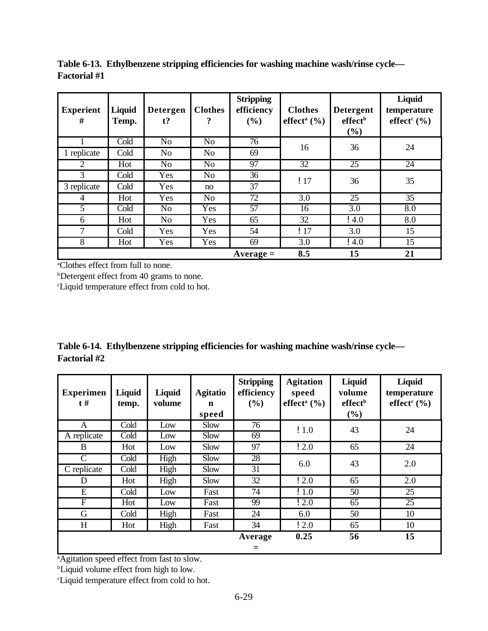| <b>Experient</b><br># | <b>Liquid</b><br>Temp. | Detergen<br>$t$ ? | <b>Clothes</b><br>9 | <b>Stripping</b><br>efficiency<br>(%) | <b>Clothes</b><br>effect <sup>a</sup> $(\frac{9}{6})$ | <b>Detergent</b><br>effect <sup>b</sup><br>$(\%)$ | Liquid<br>temperature<br>effect <sup>c</sup> $(\% )$ |
|-----------------------|------------------------|-------------------|---------------------|---------------------------------------|-------------------------------------------------------|---------------------------------------------------|------------------------------------------------------|
|                       | Cold                   | N <sub>o</sub>    | N <sub>o</sub>      | 76                                    | 16                                                    | 36                                                | 24                                                   |
| 1 replicate           | Cold                   | N <sub>o</sub>    | N <sub>o</sub>      | 69                                    |                                                       |                                                   |                                                      |
| $\overline{2}$        | Hot                    | N <sub>o</sub>    | N <sub>o</sub>      | 97                                    | 32                                                    | 25                                                | 24                                                   |
| 3                     | Cold                   | Yes               | N <sub>o</sub>      | 36                                    | !17                                                   | 36                                                | 35                                                   |
| 3 replicate           | Cold                   | Yes               | no                  | 37                                    |                                                       |                                                   |                                                      |
| 4                     | Hot                    | Yes               | N <sub>o</sub>      | 72                                    | 3.0                                                   | 25                                                | 35                                                   |
| 5                     | Cold                   | N <sub>o</sub>    | Yes                 | 57                                    | 16                                                    | 3.0                                               | 8.0                                                  |
| 6                     | Hot                    | N <sub>o</sub>    | Yes                 | 65                                    | 32                                                    | $\frac{1}{4.0}$                                   | 8.0                                                  |
| 7                     | Cold                   | Yes               | Yes                 | 54                                    | !17                                                   | 3.0                                               | 15                                                   |
| 8                     | Hot                    | Yes               | Yes                 | 69                                    | 3.0                                                   | $\frac{1}{4.0}$                                   | 15                                                   |
|                       |                        |                   |                     | $Average =$                           | 8.5                                                   | 15                                                | 21                                                   |

**Table 6-13. Ethylbenzene stripping efficiencies for washing machine wash/rinse cycle— Factorial #1**

bDetergent effect from 40 grams to none.

<sup>c</sup>Liquid temperature effect from cold to hot.

|                     | Table 6-14. Ethylbenzene stripping efficiencies for washing machine wash/rinse cycle— |  |
|---------------------|---------------------------------------------------------------------------------------|--|
| <b>Factorial #2</b> |                                                                                       |  |

| <b>Experimen</b><br>$t \#$ | Liquid<br>temp. | Liquid<br>volume | <b>Agitatio</b><br>n<br>speed | <b>Stripping</b><br>efficiency<br>(%) | <b>Agitation</b><br>speed<br>effect <sup>a</sup> $(\% )$ | Liquid<br>volume<br>effect <sup>b</sup><br>$\left( \frac{6}{6} \right)$ | Liquid<br>temperature<br>effect <sup>c</sup> $(\% )$ |
|----------------------------|-----------------|------------------|-------------------------------|---------------------------------------|----------------------------------------------------------|-------------------------------------------------------------------------|------------------------------------------------------|
| A                          | Cold            | Low              | <b>Slow</b>                   | 76                                    | $\frac{1}{2}$ 1.0                                        | 43                                                                      | 24                                                   |
| A replicate                | Cold            | Low              | Slow                          | 69                                    |                                                          |                                                                         |                                                      |
| B                          | Hot             | Low              | Slow                          | 97                                    | $\frac{1}{2}$ .0                                         | 65                                                                      | 24                                                   |
| C                          | Cold            | High             | Slow                          | 28                                    | 6.0                                                      | 43                                                                      | 2.0                                                  |
| C replicate                | Cold            | High             | Slow                          | 31                                    |                                                          |                                                                         |                                                      |
| D                          | Hot             | High             | Slow                          | 32                                    | 12.0                                                     | 65                                                                      | 2.0                                                  |
| E                          | Cold            | Low              | Fast                          | 74                                    | !1.0                                                     | 50                                                                      | 25                                                   |
| F                          | Hot             | Low              | Fast                          | 99                                    | 12.0                                                     | 65                                                                      | 25                                                   |
| G                          | Cold            | High             | Fast                          | 24                                    | 6.0                                                      | 50                                                                      | 10                                                   |
| H                          | Hot             | High             | Fast                          | 34                                    | $\frac{1}{2}$ .0                                         | 65                                                                      | 10                                                   |
|                            |                 |                  |                               | Average                               | 0.25                                                     | 56                                                                      | 15                                                   |
|                            |                 |                  |                               | ⋍                                     |                                                          |                                                                         |                                                      |

<sup>a</sup>Agitation speed effect from fast to slow.

<sup>b</sup>Liquid volume effect from high to low.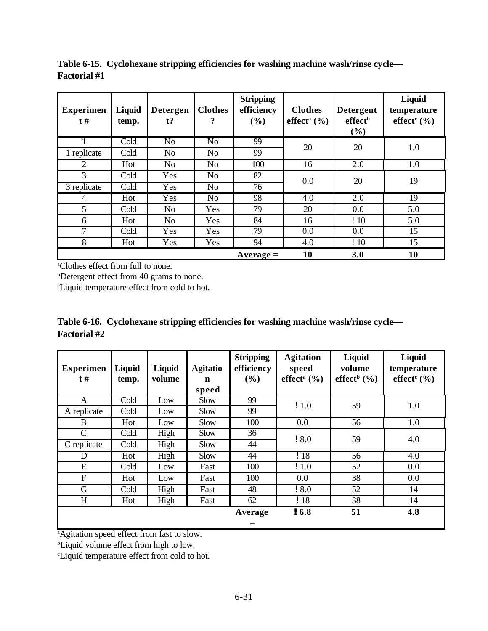| <b>Experimen</b><br>$t \#$ | Liquid<br>temp. | <b>Detergen</b><br>$t$ ? | <b>Clothes</b><br>? | <b>Stripping</b><br>efficiency<br>(%) | <b>Clothes</b><br>effect <sup>a</sup> $(\% )$ | <b>Detergent</b><br>effect <sup>b</sup><br>$(\%)$ | Liquid<br>temperature<br>effect <sup>c</sup> $(\% )$ |
|----------------------------|-----------------|--------------------------|---------------------|---------------------------------------|-----------------------------------------------|---------------------------------------------------|------------------------------------------------------|
|                            | Cold            | N <sub>o</sub>           | N <sub>o</sub>      | 99                                    | 20                                            | 20                                                | 1.0                                                  |
| 1 replicate                | Cold            | N <sub>o</sub>           | N <sub>o</sub>      | 99                                    |                                               |                                                   |                                                      |
| $\overline{2}$             | Hot             | N <sub>o</sub>           | N <sub>o</sub>      | 100                                   | 16                                            | 2.0                                               | 1.0                                                  |
| 3                          | Cold            | Yes                      | N <sub>o</sub>      | 82                                    | 0.0                                           | 20                                                | 19                                                   |
| 3 replicate                | Cold            | Yes                      | N <sub>o</sub>      | 76                                    |                                               |                                                   |                                                      |
| 4                          | Hot             | Yes                      | N <sub>o</sub>      | 98                                    | 4.0                                           | 2.0                                               | 19                                                   |
| 5                          | Cold            | N <sub>o</sub>           | Yes                 | 79                                    | 20                                            | 0.0                                               | 5.0                                                  |
| 6                          | Hot             | N <sub>o</sub>           | Yes                 | 84                                    | 16                                            | !10                                               | 5.0                                                  |
| 7                          | Cold            | Yes                      | Yes                 | 79                                    | 0.0                                           | 0.0                                               | 15                                                   |
| 8                          | Hot             | Yes                      | Yes                 | 94                                    | 4.0                                           | $\frac{1}{2}$                                     | 15                                                   |
|                            |                 |                          |                     | $Average =$                           | 10                                            | 3.0                                               | 10                                                   |

**Table 6-15. Cyclohexane stripping efficiencies for washing machine wash/rinse cycle— Factorial #1**

<sup>b</sup>Detergent effect from 40 grams to none.

<sup>c</sup>Liquid temperature effect from cold to hot.

|                     | Table 6-16. Cyclohexane stripping efficiencies for washing machine wash/rinse cycle— |
|---------------------|--------------------------------------------------------------------------------------|
| <b>Factorial</b> #2 |                                                                                      |

| <b>Experimen</b><br>$t \#$ | Liquid<br>temp. | Liquid<br>volume | <b>Agitatio</b><br>$\mathbf n$<br>speed | <b>Stripping</b><br>efficiency<br>(%) | <b>Agitation</b><br>speed<br>effect <sup>a</sup> $(\% )$ | Liquid<br>volume<br>effect <sup>b</sup> $(\% )$ | Liquid<br>temperature<br>effect <sup>c</sup> $(\% )$ |
|----------------------------|-----------------|------------------|-----------------------------------------|---------------------------------------|----------------------------------------------------------|-------------------------------------------------|------------------------------------------------------|
| A                          | Cold            | Low              | Slow                                    | 99                                    | $\frac{1}{2}$ 1.0                                        | 59                                              | 1.0                                                  |
| A replicate                | Cold            | Low              | Slow                                    | 99                                    |                                                          |                                                 |                                                      |
| B                          | Hot             | Low              | Slow                                    | 100                                   | 0.0                                                      | 56                                              | 1.0                                                  |
| C                          | Cold            | High             | Slow                                    | 36                                    | !8.0                                                     | 59                                              | 4.0                                                  |
| C replicate                | Cold            | High             | Slow                                    | 44                                    |                                                          |                                                 |                                                      |
| D                          | Hot             | High             | Slow                                    | 44                                    | !18                                                      | 56                                              | 4.0                                                  |
| E                          | Cold            | Low              | Fast                                    | 100                                   | $\frac{1}{2}$ 1.0                                        | 52                                              | 0.0                                                  |
| F                          | Hot             | Low              | Fast                                    | 100                                   | 0.0                                                      | 38                                              | 0.0                                                  |
| G                          | Cold            | High             | Fast                                    | 48                                    | 18.0                                                     | 52                                              | 14                                                   |
| H                          | Hot             | High             | Fast                                    | 62                                    | !18                                                      | 38                                              | 14                                                   |
|                            |                 |                  |                                         | Average<br>$\equiv$                   | !6.8                                                     | 51                                              | 4.8                                                  |

<sup>a</sup>Agitation speed effect from fast to slow.

<sup>b</sup>Liquid volume effect from high to low.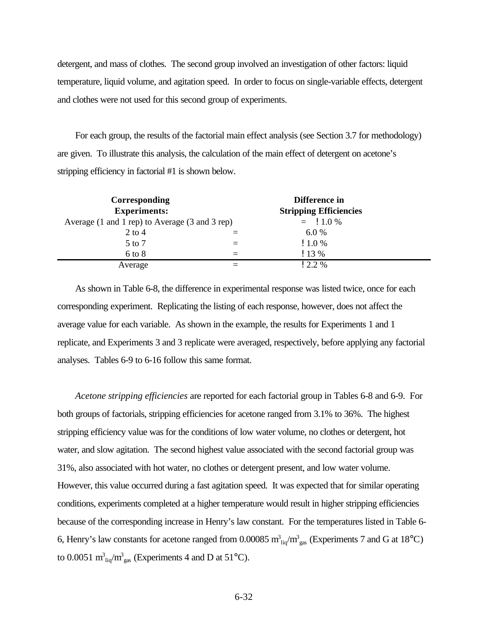detergent, and mass of clothes. The second group involved an investigation of other factors: liquid temperature, liquid volume, and agitation speed. In order to focus on single-variable effects, detergent and clothes were not used for this second group of experiments.

For each group, the results of the factorial main effect analysis (see Section 3.7 for methodology) are given. To illustrate this analysis, the calculation of the main effect of detergent on acetone's stripping efficiency in factorial #1 is shown below.

| <b>Corresponding</b><br><b>Experiments:</b>    | Difference in<br><b>Stripping Efficiencies</b> |           |  |
|------------------------------------------------|------------------------------------------------|-----------|--|
| Average (1 and 1 rep) to Average (3 and 3 rep) |                                                | $=$ 1.0 % |  |
| $2$ to 4                                       |                                                | 6.0%      |  |
| 5 to 7                                         |                                                | 11.0%     |  |
| $6$ to $8$                                     |                                                | $13\%$    |  |
| Average                                        |                                                | $12.2\%$  |  |

As shown in Table 6-8, the difference in experimental response was listed twice, once for each corresponding experiment. Replicating the listing of each response, however, does not affect the average value for each variable. As shown in the example, the results for Experiments 1 and 1 replicate, and Experiments 3 and 3 replicate were averaged, respectively, before applying any factorial analyses. Tables 6-9 to 6-16 follow this same format.

*Acetone stripping efficiencies* are reported for each factorial group in Tables 6-8 and 6-9. For both groups of factorials, stripping efficiencies for acetone ranged from 3.1% to 36%. The highest stripping efficiency value was for the conditions of low water volume, no clothes or detergent, hot water, and slow agitation. The second highest value associated with the second factorial group was 31%, also associated with hot water, no clothes or detergent present, and low water volume. However, this value occurred during a fast agitation speed. It was expected that for similar operating conditions, experiments completed at a higher temperature would result in higher stripping efficiencies because of the corresponding increase in Henry's law constant. For the temperatures listed in Table 6- 6, Henry's law constants for acetone ranged from 0.00085  $m_{liq}^3/m_{gas}^3$  (Experiments 7 and G at 18°C) to 0.0051  $m_{liq}^3/m_{gas}^3$  (Experiments 4 and D at 51°C).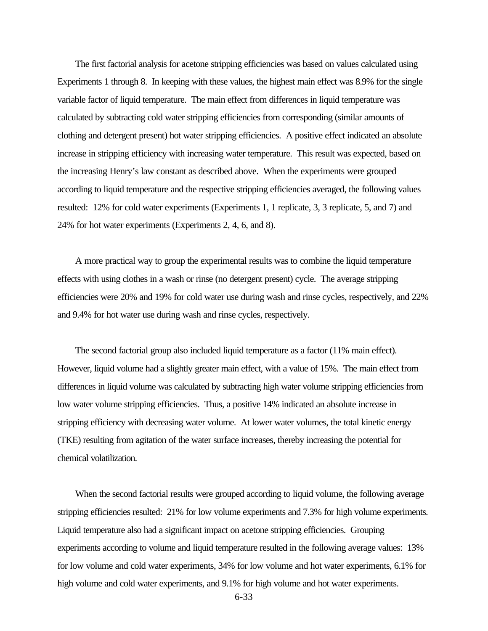The first factorial analysis for acetone stripping efficiencies was based on values calculated using Experiments 1 through 8. In keeping with these values, the highest main effect was 8.9% for the single variable factor of liquid temperature. The main effect from differences in liquid temperature was calculated by subtracting cold water stripping efficiencies from corresponding (similar amounts of clothing and detergent present) hot water stripping efficiencies. A positive effect indicated an absolute increase in stripping efficiency with increasing water temperature. This result was expected, based on the increasing Henry's law constant as described above. When the experiments were grouped according to liquid temperature and the respective stripping efficiencies averaged, the following values resulted: 12% for cold water experiments (Experiments 1, 1 replicate, 3, 3 replicate, 5, and 7) and 24% for hot water experiments (Experiments 2, 4, 6, and 8).

A more practical way to group the experimental results was to combine the liquid temperature effects with using clothes in a wash or rinse (no detergent present) cycle. The average stripping efficiencies were 20% and 19% for cold water use during wash and rinse cycles, respectively, and 22% and 9.4% for hot water use during wash and rinse cycles, respectively.

The second factorial group also included liquid temperature as a factor (11% main effect). However, liquid volume had a slightly greater main effect, with a value of 15%. The main effect from differences in liquid volume was calculated by subtracting high water volume stripping efficiencies from low water volume stripping efficiencies. Thus, a positive 14% indicated an absolute increase in stripping efficiency with decreasing water volume. At lower water volumes, the total kinetic energy (TKE) resulting from agitation of the water surface increases, thereby increasing the potential for chemical volatilization.

When the second factorial results were grouped according to liquid volume, the following average stripping efficiencies resulted: 21% for low volume experiments and 7.3% for high volume experiments. Liquid temperature also had a significant impact on acetone stripping efficiencies. Grouping experiments according to volume and liquid temperature resulted in the following average values: 13% for low volume and cold water experiments, 34% for low volume and hot water experiments, 6.1% for high volume and cold water experiments, and 9.1% for high volume and hot water experiments.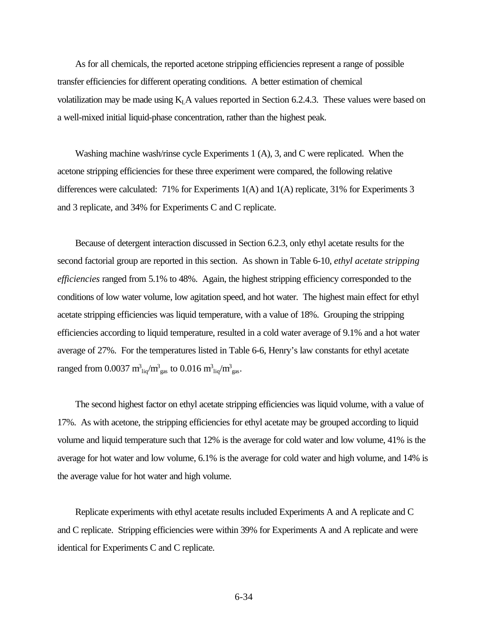As for all chemicals, the reported acetone stripping efficiencies represent a range of possible transfer efficiencies for different operating conditions. A better estimation of chemical volatilization may be made using  $K<sub>L</sub>A$  values reported in Section 6.2.4.3. These values were based on a well-mixed initial liquid-phase concentration, rather than the highest peak.

Washing machine wash/rinse cycle Experiments 1 (A), 3, and C were replicated. When the acetone stripping efficiencies for these three experiment were compared, the following relative differences were calculated: 71% for Experiments 1(A) and 1(A) replicate, 31% for Experiments 3 and 3 replicate, and 34% for Experiments C and C replicate.

Because of detergent interaction discussed in Section 6.2.3, only ethyl acetate results for the second factorial group are reported in this section. As shown in Table 6-10, *ethyl acetate stripping efficiencies* ranged from 5.1% to 48%. Again, the highest stripping efficiency corresponded to the conditions of low water volume, low agitation speed, and hot water. The highest main effect for ethyl acetate stripping efficiencies was liquid temperature, with a value of 18%. Grouping the stripping efficiencies according to liquid temperature, resulted in a cold water average of 9.1% and a hot water average of 27%. For the temperatures listed in Table 6-6, Henry's law constants for ethyl acetate ranged from 0.0037  ${\rm m^3_{\phantom{2}liq}}/{\rm m^3_{\phantom{2}gas}}$  to 0.016  ${\rm m^3_{\phantom{2}liq}}/{\rm m^3_{\phantom{2}gas}}$ .

The second highest factor on ethyl acetate stripping efficiencies was liquid volume, with a value of 17%. As with acetone, the stripping efficiencies for ethyl acetate may be grouped according to liquid volume and liquid temperature such that 12% is the average for cold water and low volume, 41% is the average for hot water and low volume, 6.1% is the average for cold water and high volume, and 14% is the average value for hot water and high volume.

Replicate experiments with ethyl acetate results included Experiments A and A replicate and C and C replicate. Stripping efficiencies were within 39% for Experiments A and A replicate and were identical for Experiments C and C replicate.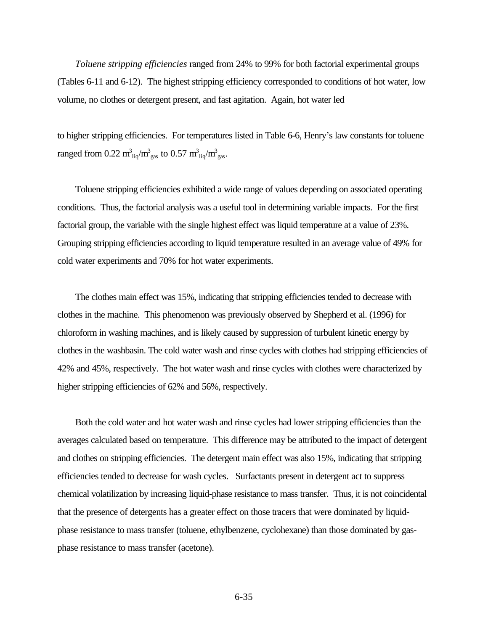*Toluene stripping efficiencies* ranged from 24% to 99% for both factorial experimental groups (Tables 6-11 and 6-12). The highest stripping efficiency corresponded to conditions of hot water, low volume, no clothes or detergent present, and fast agitation. Again, hot water led

to higher stripping efficiencies. For temperatures listed in Table 6-6, Henry's law constants for toluene ranged from 0.22  $m_{liq}^3/m_{gas}^3$  to 0.57  $m_{liq}^3/m_{gas}^3$ .

Toluene stripping efficiencies exhibited a wide range of values depending on associated operating conditions. Thus, the factorial analysis was a useful tool in determining variable impacts. For the first factorial group, the variable with the single highest effect was liquid temperature at a value of 23%. Grouping stripping efficiencies according to liquid temperature resulted in an average value of 49% for cold water experiments and 70% for hot water experiments.

The clothes main effect was 15%, indicating that stripping efficiencies tended to decrease with clothes in the machine. This phenomenon was previously observed by Shepherd et al. (1996) for chloroform in washing machines, and is likely caused by suppression of turbulent kinetic energy by clothes in the washbasin. The cold water wash and rinse cycles with clothes had stripping efficiencies of 42% and 45%, respectively. The hot water wash and rinse cycles with clothes were characterized by higher stripping efficiencies of 62% and 56%, respectively.

Both the cold water and hot water wash and rinse cycles had lower stripping efficiencies than the averages calculated based on temperature. This difference may be attributed to the impact of detergent and clothes on stripping efficiencies. The detergent main effect was also 15%, indicating that stripping efficiencies tended to decrease for wash cycles. Surfactants present in detergent act to suppress chemical volatilization by increasing liquid-phase resistance to mass transfer. Thus, it is not coincidental that the presence of detergents has a greater effect on those tracers that were dominated by liquidphase resistance to mass transfer (toluene, ethylbenzene, cyclohexane) than those dominated by gasphase resistance to mass transfer (acetone).

6-35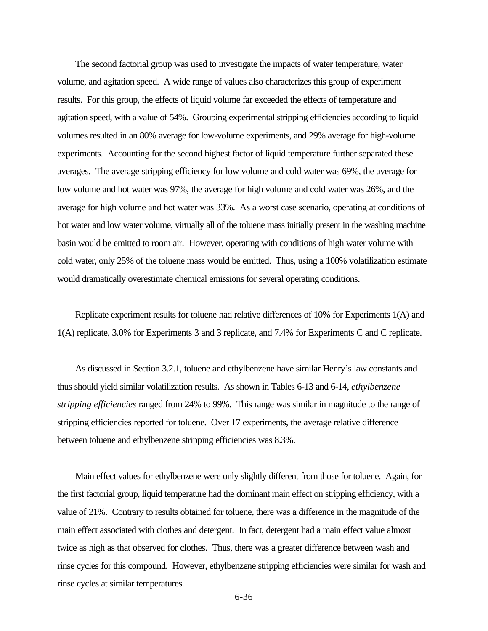The second factorial group was used to investigate the impacts of water temperature, water volume, and agitation speed. A wide range of values also characterizes this group of experiment results. For this group, the effects of liquid volume far exceeded the effects of temperature and agitation speed, with a value of 54%. Grouping experimental stripping efficiencies according to liquid volumes resulted in an 80% average for low-volume experiments, and 29% average for high-volume experiments. Accounting for the second highest factor of liquid temperature further separated these averages. The average stripping efficiency for low volume and cold water was 69%, the average for low volume and hot water was 97%, the average for high volume and cold water was 26%, and the average for high volume and hot water was 33%. As a worst case scenario, operating at conditions of hot water and low water volume, virtually all of the toluene mass initially present in the washing machine basin would be emitted to room air. However, operating with conditions of high water volume with cold water, only 25% of the toluene mass would be emitted. Thus, using a 100% volatilization estimate would dramatically overestimate chemical emissions for several operating conditions.

Replicate experiment results for toluene had relative differences of 10% for Experiments 1(A) and 1(A) replicate, 3.0% for Experiments 3 and 3 replicate, and 7.4% for Experiments C and C replicate.

As discussed in Section 3.2.1, toluene and ethylbenzene have similar Henry's law constants and thus should yield similar volatilization results. As shown in Tables 6-13 and 6-14, *ethylbenzene stripping efficiencies* ranged from 24% to 99%. This range was similar in magnitude to the range of stripping efficiencies reported for toluene. Over 17 experiments, the average relative difference between toluene and ethylbenzene stripping efficiencies was 8.3%.

Main effect values for ethylbenzene were only slightly different from those for toluene. Again, for the first factorial group, liquid temperature had the dominant main effect on stripping efficiency, with a value of 21%. Contrary to results obtained for toluene, there was a difference in the magnitude of the main effect associated with clothes and detergent. In fact, detergent had a main effect value almost twice as high as that observed for clothes. Thus, there was a greater difference between wash and rinse cycles for this compound. However, ethylbenzene stripping efficiencies were similar for wash and rinse cycles at similar temperatures.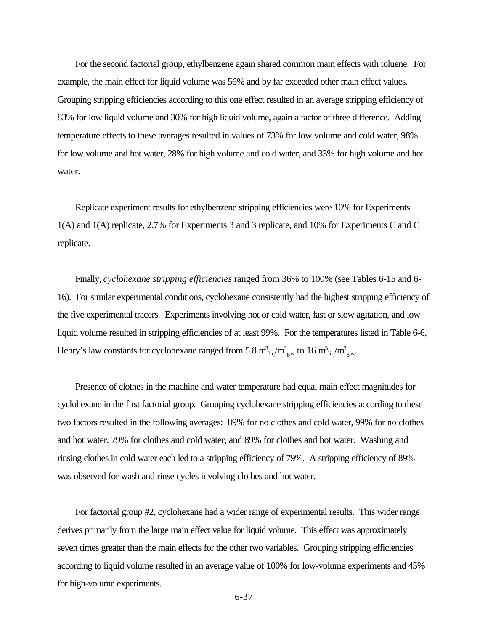For the second factorial group, ethylbenzene again shared common main effects with toluene. For example, the main effect for liquid volume was 56% and by far exceeded other main effect values. Grouping stripping efficiencies according to this one effect resulted in an average stripping efficiency of 83% for low liquid volume and 30% for high liquid volume, again a factor of three difference. Adding temperature effects to these averages resulted in values of 73% for low volume and cold water, 98% for low volume and hot water, 28% for high volume and cold water, and 33% for high volume and hot water.

Replicate experiment results for ethylbenzene stripping efficiencies were 10% for Experiments 1(A) and 1(A) replicate, 2.7% for Experiments 3 and 3 replicate, and 10% for Experiments C and C replicate.

Finally, *cyclohexane stripping efficiencies* ranged from 36% to 100% (see Tables 6-15 and 6- 16). For similar experimental conditions, cyclohexane consistently had the highest stripping efficiency of the five experimental tracers. Experiments involving hot or cold water, fast or slow agitation, and low liquid volume resulted in stripping efficiencies of at least 99%. For the temperatures listed in Table 6-6, Henry's law constants for cyclohexane ranged from 5.8  $m_{liq}^3/m_{gas}^3$  to 16  $m_{liq}^3/m_{gas}^3$ .

Presence of clothes in the machine and water temperature had equal main effect magnitudes for cyclohexane in the first factorial group. Grouping cyclohexane stripping efficiencies according to these two factors resulted in the following averages: 89% for no clothes and cold water, 99% for no clothes and hot water, 79% for clothes and cold water, and 89% for clothes and hot water. Washing and rinsing clothes in cold water each led to a stripping efficiency of 79%. A stripping efficiency of 89% was observed for wash and rinse cycles involving clothes and hot water.

For factorial group #2, cyclohexane had a wider range of experimental results. This wider range derives primarily from the large main effect value for liquid volume. This effect was approximately seven times greater than the main effects for the other two variables. Grouping stripping efficiencies according to liquid volume resulted in an average value of 100% for low-volume experiments and 45% for high-volume experiments.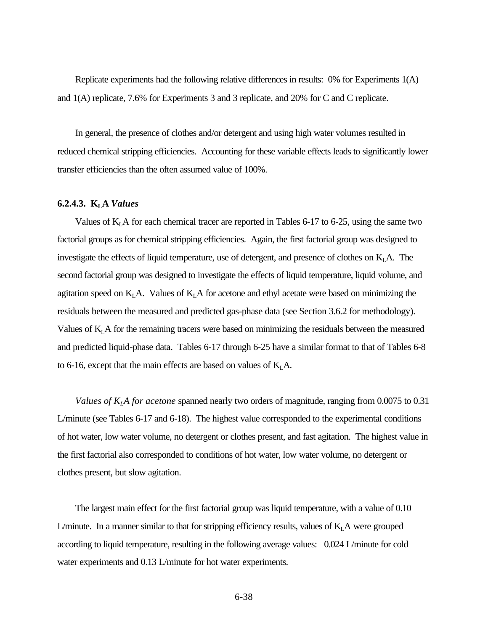Replicate experiments had the following relative differences in results: 0% for Experiments 1(A) and 1(A) replicate, 7.6% for Experiments 3 and 3 replicate, and 20% for C and C replicate.

In general, the presence of clothes and/or detergent and using high water volumes resulted in reduced chemical stripping efficiencies. Accounting for these variable effects leads to significantly lower transfer efficiencies than the often assumed value of 100%.

#### **6.2.4.3. KLA** *Values*

Values of  $K<sub>L</sub>$  A for each chemical tracer are reported in Tables 6-17 to 6-25, using the same two factorial groups as for chemical stripping efficiencies. Again, the first factorial group was designed to investigate the effects of liquid temperature, use of detergent, and presence of clothes on  $K<sub>L</sub>A$ . The second factorial group was designed to investigate the effects of liquid temperature, liquid volume, and agitation speed on  $K<sub>L</sub>A$ . Values of  $K<sub>L</sub>A$  for acetone and ethyl acetate were based on minimizing the residuals between the measured and predicted gas-phase data (see Section 3.6.2 for methodology). Values of  $K<sub>L</sub>$  A for the remaining tracers were based on minimizing the residuals between the measured and predicted liquid-phase data. Tables 6-17 through 6-25 have a similar format to that of Tables 6-8 to 6-16, except that the main effects are based on values of  $K<sub>L</sub>A$ .

*Values of KLA for acetone* spanned nearly two orders of magnitude, ranging from 0.0075 to 0.31 L/minute (see Tables 6-17 and 6-18). The highest value corresponded to the experimental conditions of hot water, low water volume, no detergent or clothes present, and fast agitation. The highest value in the first factorial also corresponded to conditions of hot water, low water volume, no detergent or clothes present, but slow agitation.

The largest main effect for the first factorial group was liquid temperature, with a value of 0.10 L/minute. In a manner similar to that for stripping efficiency results, values of  $K<sub>L</sub>A$  were grouped according to liquid temperature, resulting in the following average values: 0.024 L/minute for cold water experiments and 0.13 L/minute for hot water experiments.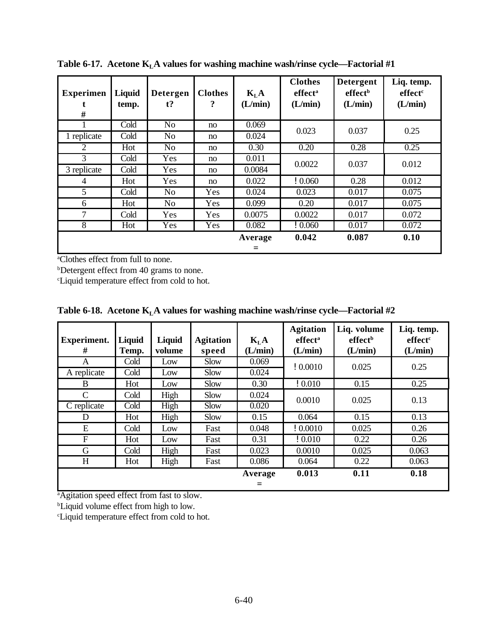| <b>Experimen</b><br># | Liquid<br>temp. | <b>Detergen</b><br>t? | <b>Clothes</b><br>? | $K_{L}A$<br>(L/min) | <b>Clothes</b><br>effect <sup>a</sup><br>(L/min) | <b>Detergent</b><br>effect <sup>b</sup><br>(L/min) | Liq. temp.<br>effect <sup>c</sup><br>(L/min) |
|-----------------------|-----------------|-----------------------|---------------------|---------------------|--------------------------------------------------|----------------------------------------------------|----------------------------------------------|
|                       | Cold            | N <sub>o</sub>        | no                  | 0.069               | 0.023                                            | 0.037                                              | 0.25                                         |
| 1 replicate           | Cold            | N <sub>o</sub>        | no                  | 0.024               |                                                  |                                                    |                                              |
| 2                     | Hot             | N <sub>o</sub>        | no                  | 0.30                | 0.20                                             | 0.28                                               | 0.25                                         |
| 3                     | Cold            | Yes                   | no                  | 0.011               | 0.0022                                           | 0.037                                              | 0.012                                        |
| 3 replicate           | Cold            | Yes                   | no                  | 0.0084              |                                                  |                                                    |                                              |
| 4                     | Hot             | Yes                   | no                  | 0.022               | !0.060                                           | 0.28                                               | 0.012                                        |
| 5                     | Cold            | N <sub>o</sub>        | Yes                 | 0.024               | 0.023                                            | 0.017                                              | 0.075                                        |
| 6                     | Hot             | N <sub>o</sub>        | Yes                 | 0.099               | 0.20                                             | 0.017                                              | 0.075                                        |
| 7                     | Cold            | Yes                   | Yes                 | 0.0075              | 0.0022                                           | 0.017                                              | 0.072                                        |
| 8                     | Hot             | Yes                   | Yes                 | 0.082               | !0.060                                           | 0.017                                              | 0.072                                        |
|                       |                 |                       |                     | Average<br>$=$      | 0.042                                            | 0.087                                              | 0.10                                         |

**Table 6-17. Acetone KLA values for washing machine wash/rinse cycle—Factorial #1**

**b**Detergent effect from 40 grams to none.

<sup>c</sup>Liquid temperature effect from cold to hot.

| <b>Experiment.</b><br># | Liquid<br>Temp. | <b>Liquid</b><br>volume | <b>Agitation</b><br>speed | $K_{L}A$<br>(L/min) | <b>Agitation</b><br>effect <sup>a</sup><br>(L/min) | Liq. volume<br>effect <sup>b</sup><br>(L/min) | Liq. temp.<br>effect <sup>c</sup><br>(L/min) |
|-------------------------|-----------------|-------------------------|---------------------------|---------------------|----------------------------------------------------|-----------------------------------------------|----------------------------------------------|
| A                       | Cold            | Low                     | Slow                      | 0.069               | !0.0010                                            | 0.025                                         | 0.25                                         |
| A replicate             | Cold            | Low                     | Slow                      | 0.024               |                                                    |                                               |                                              |
| B                       | Hot             | Low                     | Slow                      | 0.30                | !0.010                                             | 0.15                                          | 0.25                                         |
| $\mathcal{C}$           | Cold            | High                    | Slow                      | 0.024               | 0.0010                                             | 0.025                                         | 0.13                                         |
| C replicate             | Cold            | High                    | Slow                      | 0.020               |                                                    |                                               |                                              |
| D                       | Hot             | High                    | Slow                      | 0.15                | 0.064                                              | 0.15                                          | 0.13                                         |
| E                       | Cold            | Low                     | Fast                      | 0.048               | !0.0010                                            | 0.025                                         | 0.26                                         |
| F                       | Hot             | Low                     | Fast                      | 0.31                | !0.010                                             | 0.22                                          | 0.26                                         |
| G                       | Cold            | High                    | Fast                      | 0.023               | 0.0010                                             | 0.025                                         | 0.063                                        |
| H                       | Hot             | High                    | Fast                      | 0.086               | 0.064                                              | 0.22                                          | 0.063                                        |
|                         |                 |                         |                           | Average             | 0.013                                              | 0.11                                          | 0.18                                         |
|                         |                 |                         |                           | $=$                 |                                                    |                                               |                                              |

**Table 6-18. Acetone KLA values for washing machine wash/rinse cycle—Factorial #2**

<sup>a</sup>Agitation speed effect from fast to slow.

<sup>b</sup>Liquid volume effect from high to low.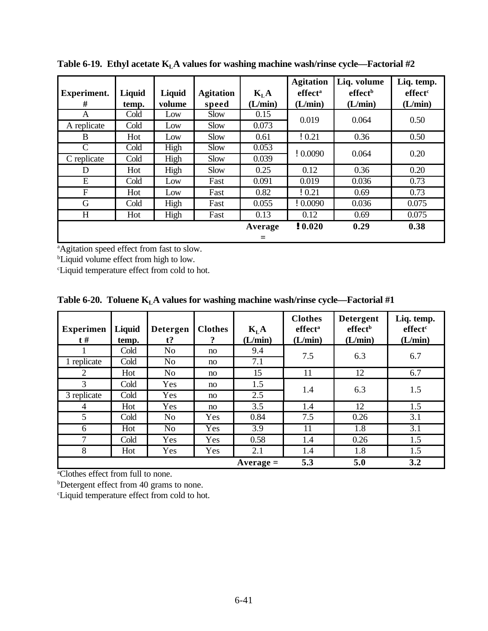| <b>Experiment.</b><br># | Liquid<br>temp. | Liquid<br>volume | <b>Agitation</b><br>speed | K <sub>L</sub> A<br>(L/min) | <b>Agitation</b><br>effect <sup>a</sup><br>(L/min) | Liq. volume<br>effect <sup>b</sup><br>(L/min) | Liq. temp.<br>effect <sup>c</sup><br>(L/min) |
|-------------------------|-----------------|------------------|---------------------------|-----------------------------|----------------------------------------------------|-----------------------------------------------|----------------------------------------------|
| A                       | Cold            | Low              | Slow                      | 0.15                        | 0.019                                              | 0.064                                         | 0.50                                         |
| A replicate             | Cold            | Low              | Slow                      | 0.073                       |                                                    |                                               |                                              |
| B                       | Hot             | Low              | Slow                      | 0.61                        | !0.21                                              | 0.36                                          | 0.50                                         |
| $\mathcal{C}$           | Cold            | High             | Slow                      | 0.053                       | !0.0090                                            | 0.064                                         | 0.20                                         |
| C replicate             | Cold            | High             | Slow                      | 0.039                       |                                                    |                                               |                                              |
| D                       | Hot             | High             | Slow                      | 0.25                        | 0.12                                               | 0.36                                          | 0.20                                         |
| E                       | Cold            | Low              | Fast                      | 0.091                       | 0.019                                              | 0.036                                         | 0.73                                         |
| F                       | Hot             | Low              | Fast                      | 0.82                        | !0.21                                              | 0.69                                          | 0.73                                         |
| G                       | Cold            | High             | Fast                      | 0.055                       | !0.0090                                            | 0.036                                         | 0.075                                        |
| H                       | Hot             | High             | Fast                      | 0.13                        | 0.12                                               | 0.69                                          | 0.075                                        |
|                         |                 |                  |                           | Average<br>$=$              | ! 0.020                                            | 0.29                                          | 0.38                                         |

**Table 6-19. Ethyl acetate KLA values for washing machine wash/rinse cycle—Factorial #2**

<sup>b</sup>Liquid volume effect from high to low.

<sup>c</sup>Liquid temperature effect from cold to hot.

|  |  |  | Table 6-20. Toluene $KLA$ values for washing machine wash/rinse cycle—Factorial #1 |  |  |
|--|--|--|------------------------------------------------------------------------------------|--|--|
|--|--|--|------------------------------------------------------------------------------------|--|--|

| <b>Experimen</b><br>$t \#$ | Liquid<br>temp. | <b>Detergen</b><br>$t$ ? | <b>Clothes</b><br>$\overline{?}$ | $K_{L}A$<br>(L/min) | <b>Clothes</b><br>effect <sup>a</sup><br>(L/min) | <b>Detergent</b><br>effect <sup>b</sup><br>(L/min) | Liq. temp.<br>effect <sup>c</sup><br>(L/min) |
|----------------------------|-----------------|--------------------------|----------------------------------|---------------------|--------------------------------------------------|----------------------------------------------------|----------------------------------------------|
|                            | Cold            | N <sub>o</sub>           | no                               | 9.4                 | 7.5                                              | 6.3                                                | 6.7                                          |
| 1 replicate                | Cold            | N <sub>o</sub>           | no                               | 7.1                 |                                                  |                                                    |                                              |
| 2                          | Hot             | N <sub>o</sub>           | no                               | 15                  | 11                                               | 12                                                 | 6.7                                          |
| 3                          | Cold            | Yes                      | no                               | 1.5                 | 1.4                                              | 6.3                                                | 1.5                                          |
| 3 replicate                | Cold            | Yes                      | no                               | 2.5                 |                                                  |                                                    |                                              |
| 4                          | Hot             | Yes                      | no                               | 3.5                 | 1.4                                              | 12                                                 | 1.5                                          |
| 5                          | Cold            | N <sub>0</sub>           | Yes                              | 0.84                | 7.5                                              | 0.26                                               | 3.1                                          |
| 6                          | Hot             | N <sub>o</sub>           | Yes                              | 3.9                 | 11                                               | 1.8                                                | 3.1                                          |
| 7                          | Cold            | Yes                      | Yes                              | 0.58                | 1.4                                              | 0.26                                               | 1.5                                          |
| 8                          | Hot             | Yes                      | Yes                              | 2.1                 | 1.4                                              | 1.8                                                | 1.5                                          |
|                            |                 |                          |                                  | $Average =$         | 5.3                                              | 5.0                                                | 3.2                                          |

<sup>a</sup>Clothes effect from full to none.

<sup>b</sup>Detergent effect from 40 grams to none.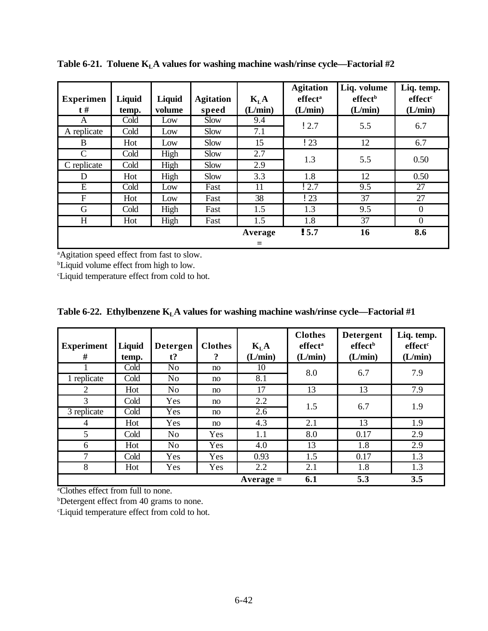| <b>Experimen</b><br>$t \#$ | Liquid<br>temp. | Liquid<br>volume | <b>Agitation</b><br>speed | K <sub>L</sub> A<br>(L/min) | <b>Agitation</b><br>effect <sup>a</sup><br>(L/min) | Liq. volume<br>effect <sup>b</sup><br>(L/min) | Liq. temp.<br>effect <sup>c</sup><br>(L/min) |
|----------------------------|-----------------|------------------|---------------------------|-----------------------------|----------------------------------------------------|-----------------------------------------------|----------------------------------------------|
| A                          | Cold            | Low              | Slow                      | 9.4                         | 12.7                                               | 5.5                                           | 6.7                                          |
| A replicate                | Cold            | Low              | Slow                      | 7.1                         |                                                    |                                               |                                              |
| B                          | Hot             | Low              | Slow                      | 15                          | $\frac{1}{23}$                                     | 12                                            | 6.7                                          |
| $\mathsf{C}$               | Cold            | High             | Slow                      | 2.7                         | 1.3                                                | 5.5                                           | 0.50                                         |
| C replicate                | Cold            | High             | Slow                      | 2.9                         |                                                    |                                               |                                              |
| D                          | Hot             | High             | Slow                      | 3.3                         | 1.8                                                | 12                                            | 0.50                                         |
| E                          | Cold            | Low              | Fast                      | 11                          | 12.7                                               | 9.5                                           | 27                                           |
| $\boldsymbol{F}$           | Hot             | Low              | Fast                      | 38                          | $\frac{1}{23}$                                     | 37                                            | 27                                           |
| G                          | Cold            | High             | Fast                      | 1.5                         | 1.3                                                | 9.5                                           | $\theta$                                     |
| H                          | Hot             | High             | Fast                      | 1.5                         | 1.8                                                | 37                                            | $\Omega$                                     |
|                            |                 |                  |                           | Average                     | 15.7                                               | 16                                            | 8.6                                          |
|                            |                 |                  |                           | $=$                         |                                                    |                                               |                                              |

**Table 6-21. Toluene KLA values for washing machine wash/rinse cycle—Factorial #2**

<sup>b</sup>Liquid volume effect from high to low.

<sup>c</sup>Liquid temperature effect from cold to hot.

| <b>Experiment</b><br># | Liquid<br>temp. | <b>Detergen</b><br>$t$ ? | <b>Clothes</b><br>? | $K_{L}A$<br>(L/min) | <b>Clothes</b><br>effect <sup>a</sup><br>(L/min) | <b>Detergent</b><br>effect <sup>b</sup><br>(L/min) | Liq. temp.<br>effect <sup>c</sup><br>(L/min) |
|------------------------|-----------------|--------------------------|---------------------|---------------------|--------------------------------------------------|----------------------------------------------------|----------------------------------------------|
|                        | Cold            | N <sub>o</sub>           | no                  | 10                  | 8.0                                              | 6.7                                                | 7.9                                          |
| 1 replicate            | Cold            | N <sub>o</sub>           | no                  | 8.1                 |                                                  |                                                    |                                              |
| 2                      | Hot             | N <sub>o</sub>           | no                  | 17                  | 13                                               | 13                                                 | 7.9                                          |
| 3                      | Cold            | Yes                      | no                  | 2.2                 | 1.5                                              | 6.7                                                | 1.9                                          |
| 3 replicate            | Cold            | Yes                      | no                  | 2.6                 |                                                  |                                                    |                                              |
| $\overline{4}$         | Hot             | Yes                      | no                  | 4.3                 | 2.1                                              | 13                                                 | 1.9                                          |
| 5                      | Cold            | N <sub>o</sub>           | Yes                 | 1.1                 | 8.0                                              | 0.17                                               | 2.9                                          |
| 6                      | Hot             | N <sub>o</sub>           | Yes                 | 4.0                 | 13                                               | 1.8                                                | 2.9                                          |
| 7                      | Cold            | Yes                      | Yes                 | 0.93                | 1.5                                              | 0.17                                               | 1.3                                          |
| 8                      | Hot             | Yes                      | Yes                 | 2.2                 | 2.1                                              | 1.8                                                | 1.3                                          |
|                        |                 |                          |                     | $Average =$         | 6.1                                              | 5.3                                                | 3.5                                          |

**Table 6-22. Ethylbenzene KLA values for washing machine wash/rinse cycle—Factorial #1**

<sup>a</sup>Clothes effect from full to none.

**b**Detergent effect from 40 grams to none.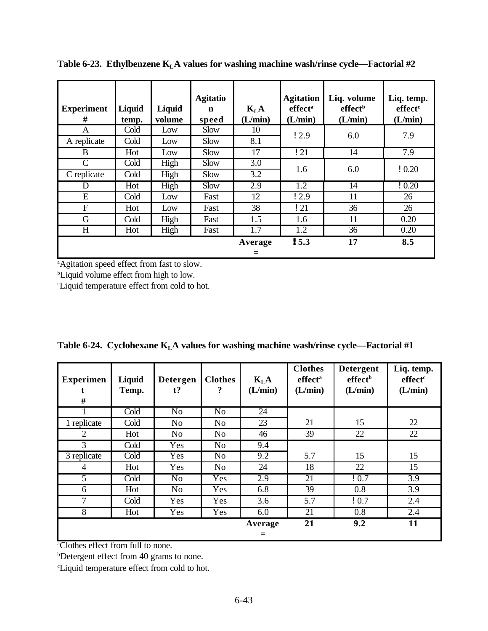| <b>Experiment</b><br># | Liquid<br>temp. | Liquid<br>volume | <b>Agitatio</b><br>$\mathbf n$<br>speed | $K_{L}A$<br>(L/min) | <b>Agitation</b><br>effect <sup>a</sup><br>(L/min) | Liq. volume<br>effect <sup>b</sup><br>(L/min) | Liq. temp.<br>effect <sup>c</sup><br>(L/min) |
|------------------------|-----------------|------------------|-----------------------------------------|---------------------|----------------------------------------------------|-----------------------------------------------|----------------------------------------------|
| A                      | Cold            | Low              | Slow                                    | 10                  | 12.9                                               | 6.0                                           | 7.9                                          |
| A replicate            | Cold            | Low              | Slow                                    | 8.1                 |                                                    |                                               |                                              |
| B                      | Hot             | Low              | Slow                                    | 17                  | ! 21                                               | 14                                            | 7.9                                          |
| C                      | Cold            | High             | Slow                                    | 3.0                 | 1.6                                                | 6.0                                           | !0.20                                        |
| C replicate            | Cold            | High             | Slow                                    | 3.2                 |                                                    |                                               |                                              |
| D                      | Hot             | High             | Slow                                    | 2.9                 | 1.2                                                | 14                                            | !0.20                                        |
| E                      | Cold            | Low              | Fast                                    | 12                  | 12.9                                               | 11                                            | 26                                           |
| $\overline{F}$         | Hot             | Low              | Fast                                    | 38                  | ! 21                                               | 36                                            | 26                                           |
| G                      | Cold            | High             | Fast                                    | 1.5                 | 1.6                                                | 11                                            | 0.20                                         |
| H                      | Hot             | High             | Fast                                    | 1.7                 | 1.2                                                | 36                                            | 0.20                                         |
|                        |                 |                  |                                         | Average<br>$=$      | ! 5.3                                              | 17                                            | 8.5                                          |

**Table 6-23. Ethylbenzene KLA values for washing machine wash/rinse cycle—Factorial #2**

<sup>b</sup>Liquid volume effect from high to low.

<sup>c</sup>Liquid temperature effect from cold to hot.

| Table 6-24. Cyclohexane $KLA$ values for washing machine wash/rinse cycle—Factorial #1 |  |  |
|----------------------------------------------------------------------------------------|--|--|
|                                                                                        |  |  |

| <b>Experimen</b><br># | Liquid<br>Temp. | <b>Detergen</b><br>$t$ ? | <b>Clothes</b><br>? | $K_{L}A$<br>(L/min) | <b>Clothes</b><br>effect <sup>a</sup><br>(L/min) | <b>Detergent</b><br>effect <sup>b</sup><br>(L/min) | Liq. temp.<br>effect <sup>c</sup><br>(L/min) |
|-----------------------|-----------------|--------------------------|---------------------|---------------------|--------------------------------------------------|----------------------------------------------------|----------------------------------------------|
|                       | Cold            | N <sub>o</sub>           | N <sub>o</sub>      | 24                  |                                                  |                                                    |                                              |
| 1 replicate           | Cold            | N <sub>o</sub>           | N <sub>o</sub>      | 23                  | 21                                               | 15                                                 | 22                                           |
| 2                     | Hot             | No                       | N <sub>o</sub>      | 46                  | 39                                               | 22                                                 | 22                                           |
| 3                     | Cold            | Yes                      | N <sub>o</sub>      | 9.4                 |                                                  |                                                    |                                              |
| 3 replicate           | Cold            | Yes                      | N <sub>o</sub>      | 9.2                 | 5.7                                              | 15                                                 | 15                                           |
| $\overline{4}$        | Hot             | Yes                      | N <sub>o</sub>      | 24                  | 18                                               | 22                                                 | 15                                           |
| 5                     | Cold            | N <sub>o</sub>           | Yes                 | 2.9                 | 21                                               | 10.7                                               | $\overline{3.9}$                             |
| 6                     | Hot             | N <sub>o</sub>           | Yes                 | 6.8                 | 39                                               | 0.8                                                | $\overline{3.9}$                             |
| 7                     | Cold            | Yes                      | Yes                 | 3.6                 | 5.7                                              | 10.7                                               | 2.4                                          |
| 8                     | Hot             | Yes                      | Yes                 | 6.0                 | 21                                               | 0.8                                                | 2.4                                          |
|                       |                 |                          |                     | Average             | 21                                               | 9.2                                                | 11                                           |
|                       |                 |                          |                     | $=$                 |                                                  |                                                    |                                              |

<sup>a</sup>Clothes effect from full to none.

**b**Detergent effect from 40 grams to none.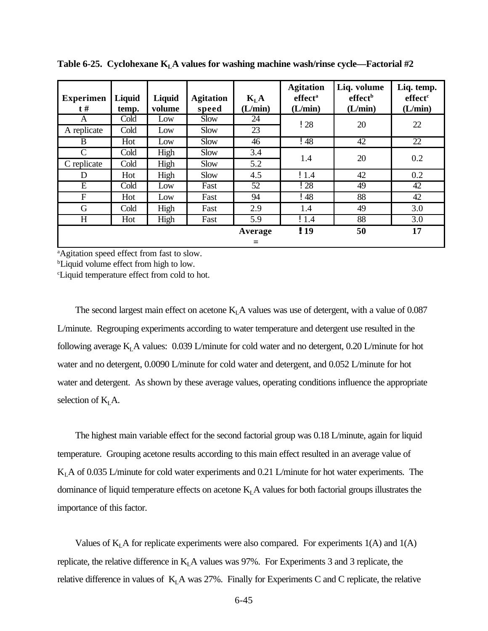| <b>Experimen</b><br>$t \#$ | Liquid<br>temp. | Liquid<br>volume | <b>Agitation</b><br>speed | K <sub>L</sub> A<br>(L/min) | <b>Agitation</b><br>effect <sup>a</sup><br>(L/min) | Liq. volume<br>effect <sup>b</sup><br>(L/min) | Liq. temp.<br>effect <sup>c</sup><br>(L/min) |
|----------------------------|-----------------|------------------|---------------------------|-----------------------------|----------------------------------------------------|-----------------------------------------------|----------------------------------------------|
| A                          | Cold            | Low              | Slow                      | 24                          | 128                                                | 20                                            | 22                                           |
| A replicate                | Cold            | Low              | Slow                      | 23                          |                                                    |                                               |                                              |
| B                          | Hot             | Low              | Slow                      | 46                          | $\frac{1}{48}$                                     | 42                                            | 22                                           |
| C                          | Cold            | High             | Slow                      | 3.4                         |                                                    | 20                                            | 0.2                                          |
| C replicate                | Cold            | High             | Slow                      | 5.2                         | 1.4                                                |                                               |                                              |
| D                          | Hot             | High             | Slow                      | 4.5                         | !1.4                                               | 42                                            | 0.2                                          |
| E                          | Cold            | Low              | Fast                      | 52                          | ! 28                                               | 49                                            | 42                                           |
| F                          | Hot             | Low              | Fast                      | 94                          | ! 48                                               | 88                                            | 42                                           |
| G                          | Cold            | High             | Fast                      | 2.9                         | 1.4                                                | 49                                            | 3.0                                          |
| H                          | Hot             | High             | Fast                      | 5.9                         | !1.4                                               | 88                                            | 3.0                                          |
|                            |                 |                  |                           | Average                     | ! 19                                               | 50                                            | 17                                           |
|                            |                 |                  |                           | Ξ                           |                                                    |                                               |                                              |

**Table 6-25. Cyclohexane KLA values for washing machine wash/rinse cycle—Factorial #2**

<sup>b</sup>Liquid volume effect from high to low.

<sup>c</sup>Liquid temperature effect from cold to hot.

The second largest main effect on acetone  $K<sub>L</sub>A$  values was use of detergent, with a value of 0.087 L/minute. Regrouping experiments according to water temperature and detergent use resulted in the following average  $K<sub>L</sub>A$  values: 0.039 L/minute for cold water and no detergent, 0.20 L/minute for hot water and no detergent, 0.0090 L/minute for cold water and detergent, and 0.052 L/minute for hot water and detergent. As shown by these average values, operating conditions influence the appropriate selection of  $K<sub>L</sub>A$ .

The highest main variable effect for the second factorial group was 0.18 L/minute, again for liquid temperature. Grouping acetone results according to this main effect resulted in an average value of KLA of 0.035 L/minute for cold water experiments and 0.21 L/minute for hot water experiments. The dominance of liquid temperature effects on acetone  $K<sub>L</sub>A$  values for both factorial groups illustrates the importance of this factor.

Values of  $K<sub>L</sub>$  A for replicate experiments were also compared. For experiments 1(A) and 1(A) replicate, the relative difference in  $K<sub>L</sub>A$  values was 97%. For Experiments 3 and 3 replicate, the relative difference in values of  $K<sub>L</sub>A$  was 27%. Finally for Experiments C and C replicate, the relative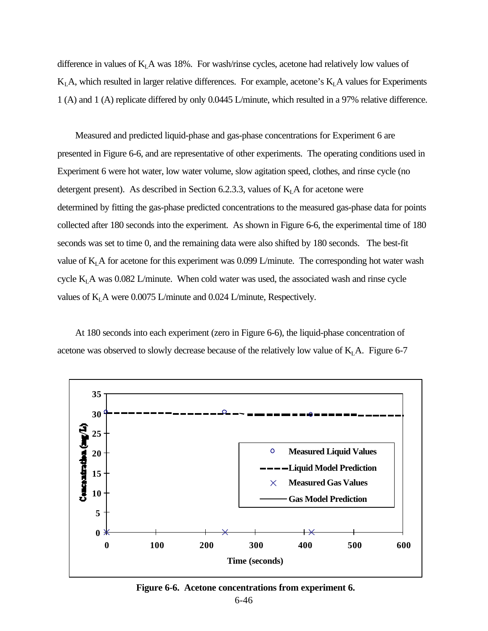difference in values of  $K<sub>L</sub>A$  was 18%. For wash/rinse cycles, acetone had relatively low values of  $K<sub>L</sub>A$ , which resulted in larger relative differences. For example, acetone's  $K<sub>L</sub>A$  values for Experiments 1 (A) and 1 (A) replicate differed by only 0.0445 L/minute, which resulted in a 97% relative difference.

Measured and predicted liquid-phase and gas-phase concentrations for Experiment 6 are presented in Figure 6-6, and are representative of other experiments. The operating conditions used in Experiment 6 were hot water, low water volume, slow agitation speed, clothes, and rinse cycle (no detergent present). As described in Section 6.2.3.3, values of  $K<sub>L</sub>A$  for acetone were determined by fitting the gas-phase predicted concentrations to the measured gas-phase data for points collected after 180 seconds into the experiment. As shown in Figure 6-6, the experimental time of 180 seconds was set to time 0, and the remaining data were also shifted by 180 seconds. The best-fit value of  $K<sub>L</sub>A$  for acetone for this experiment was 0.099 L/minute. The corresponding hot water wash cycle K<sub>L</sub>A was 0.082 L/minute. When cold water was used, the associated wash and rinse cycle values of  $K<sub>L</sub>A$  were 0.0075 L/minute and 0.024 L/minute, Respectively.

At 180 seconds into each experiment (zero in Figure 6-6), the liquid-phase concentration of acetone was observed to slowly decrease because of the relatively low value of  $K<sub>L</sub>A$ . Figure 6-7



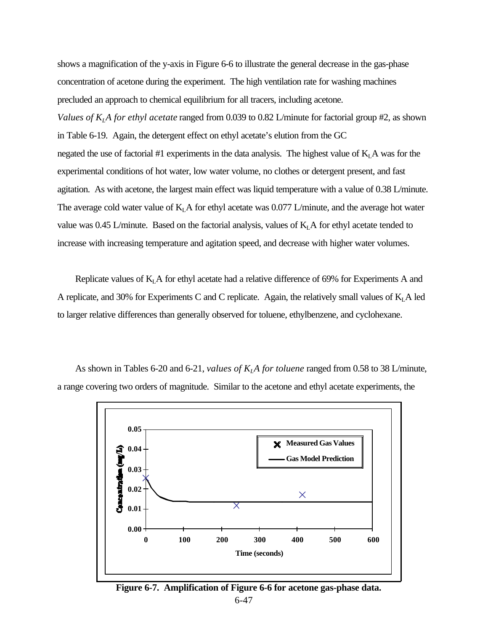shows a magnification of the y-axis in Figure 6-6 to illustrate the general decrease in the gas-phase concentration of acetone during the experiment. The high ventilation rate for washing machines precluded an approach to chemical equilibrium for all tracers, including acetone. *Values of KLA for ethyl acetate* ranged from 0.039 to 0.82 L/minute for factorial group #2, as shown in Table 6-19. Again, the detergent effect on ethyl acetate's elution from the GC negated the use of factorial #1 experiments in the data analysis. The highest value of  $K<sub>L</sub>A$  was for the experimental conditions of hot water, low water volume, no clothes or detergent present, and fast agitation. As with acetone, the largest main effect was liquid temperature with a value of 0.38 L/minute. The average cold water value of  $K<sub>L</sub>A$  for ethyl acetate was 0.077 L/minute, and the average hot water value was 0.45 L/minute. Based on the factorial analysis, values of  $K<sub>L</sub>A$  for ethyl acetate tended to increase with increasing temperature and agitation speed, and decrease with higher water volumes.

Replicate values of  $K<sub>L</sub>A$  for ethyl acetate had a relative difference of 69% for Experiments A and A replicate, and 30% for Experiments C and C replicate. Again, the relatively small values of  $K<sub>L</sub>A$  led to larger relative differences than generally observed for toluene, ethylbenzene, and cyclohexane.



As shown in Tables 6-20 and 6-21, *values of KLA for toluene* ranged from 0.58 to 38 L/minute, a range covering two orders of magnitude. Similar to the acetone and ethyl acetate experiments, the

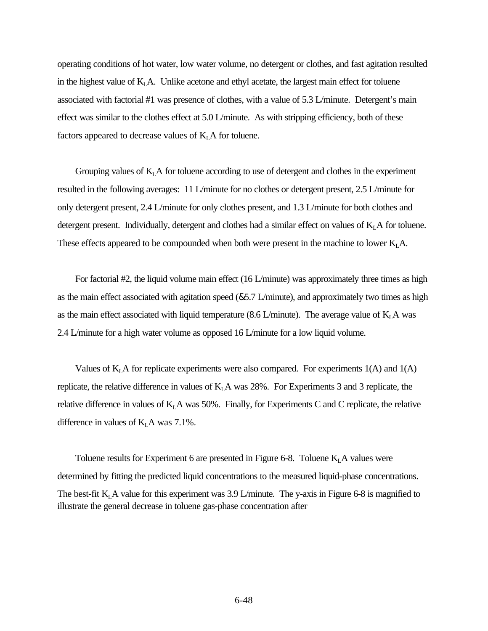operating conditions of hot water, low water volume, no detergent or clothes, and fast agitation resulted in the highest value of  $K<sub>L</sub>A$ . Unlike acetone and ethyl acetate, the largest main effect for toluene associated with factorial #1 was presence of clothes, with a value of 5.3 L/minute. Detergent's main effect was similar to the clothes effect at 5.0 L/minute. As with stripping efficiency, both of these factors appeared to decrease values of  $K<sub>L</sub>A$  for toluene.

Grouping values of  $K<sub>L</sub>A$  for toluene according to use of detergent and clothes in the experiment resulted in the following averages: 11 L/minute for no clothes or detergent present, 2.5 L/minute for only detergent present, 2.4 L/minute for only clothes present, and 1.3 L/minute for both clothes and detergent present. Individually, detergent and clothes had a similar effect on values of  $K<sub>L</sub>A$  for toluene. These effects appeared to be compounded when both were present in the machine to lower  $K<sub>L</sub>A$ .

For factorial #2, the liquid volume main effect (16 L/minute) was approximately three times as high as the main effect associated with agitation speed (&5.7 L/minute), and approximately two times as high as the main effect associated with liquid temperature (8.6 L/minute). The average value of  $K<sub>L</sub>A$  was 2.4 L/minute for a high water volume as opposed 16 L/minute for a low liquid volume.

Values of  $K<sub>L</sub>$  A for replicate experiments were also compared. For experiments 1(A) and 1(A) replicate, the relative difference in values of  $K<sub>L</sub>A$  was 28%. For Experiments 3 and 3 replicate, the relative difference in values of  $K<sub>L</sub>A$  was 50%. Finally, for Experiments C and C replicate, the relative difference in values of  $K<sub>L</sub>A$  was 7.1%.

Toluene results for Experiment 6 are presented in Figure 6-8. Toluene  $K<sub>L</sub>A$  values were determined by fitting the predicted liquid concentrations to the measured liquid-phase concentrations. The best-fit  $K<sub>L</sub>A$  value for this experiment was 3.9 L/minute. The y-axis in Figure 6-8 is magnified to illustrate the general decrease in toluene gas-phase concentration after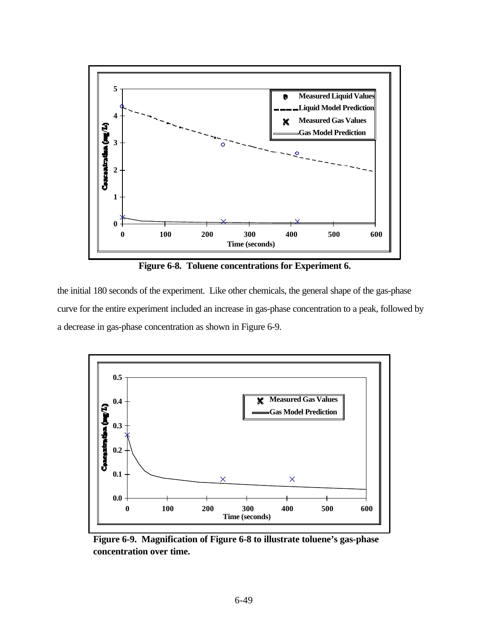

**Figure 6-8. Toluene concentrations for Experiment 6.**

the initial 180 seconds of the experiment. Like other chemicals, the general shape of the gas-phase curve for the entire experiment included an increase in gas-phase concentration to a peak, followed by a decrease in gas-phase concentration as shown in Figure 6-9.



**Figure 6-9. Magnification of Figure 6-8 to illustrate toluene's gas-phase concentration over time.**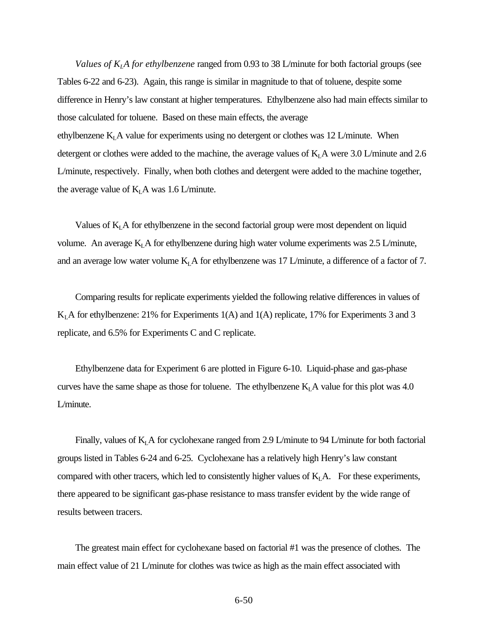*Values of KLA for ethylbenzene* ranged from 0.93 to 38 L/minute for both factorial groups (see Tables 6-22 and 6-23). Again, this range is similar in magnitude to that of toluene, despite some difference in Henry's law constant at higher temperatures. Ethylbenzene also had main effects similar to those calculated for toluene. Based on these main effects, the average ethylbenzene  $K<sub>L</sub>A$  value for experiments using no detergent or clothes was 12 L/minute. When detergent or clothes were added to the machine, the average values of  $K<sub>L</sub>A$  were 3.0 L/minute and 2.6 L/minute, respectively. Finally, when both clothes and detergent were added to the machine together, the average value of  $K<sub>L</sub>A$  was 1.6 L/minute.

Values of  $K<sub>L</sub>A$  for ethylbenzene in the second factorial group were most dependent on liquid volume. An average  $K<sub>L</sub>A$  for ethylbenzene during high water volume experiments was 2.5 L/minute, and an average low water volume  $K<sub>L</sub>A$  for ethylbenzene was 17 L/minute, a difference of a factor of 7.

Comparing results for replicate experiments yielded the following relative differences in values of  $K<sub>L</sub>A$  for ethylbenzene: 21% for Experiments 1(A) and 1(A) replicate, 17% for Experiments 3 and 3 replicate, and 6.5% for Experiments C and C replicate.

Ethylbenzene data for Experiment 6 are plotted in Figure 6-10. Liquid-phase and gas-phase curves have the same shape as those for toluene. The ethylbenzene  $K<sub>L</sub>A$  value for this plot was 4.0 L/minute.

Finally, values of  $K<sub>L</sub> A$  for cyclohexane ranged from 2.9 L/minute to 94 L/minute for both factorial groups listed in Tables 6-24 and 6-25. Cyclohexane has a relatively high Henry's law constant compared with other tracers, which led to consistently higher values of  $K<sub>L</sub>A$ . For these experiments, there appeared to be significant gas-phase resistance to mass transfer evident by the wide range of results between tracers.

The greatest main effect for cyclohexane based on factorial #1 was the presence of clothes. The main effect value of 21 L/minute for clothes was twice as high as the main effect associated with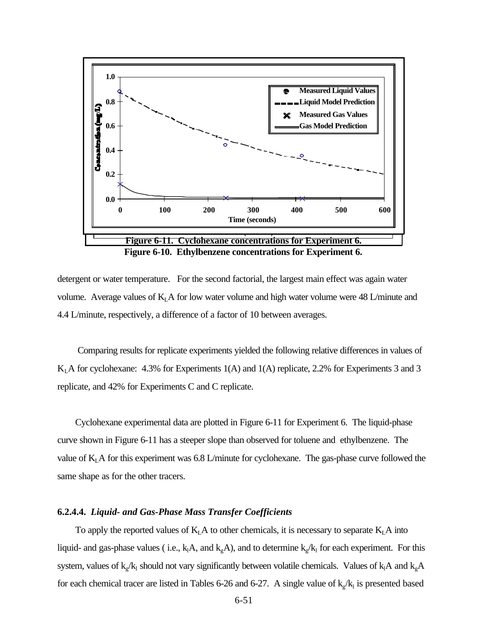

detergent or water temperature. For the second factorial, the largest main effect was again water volume. Average values of  $K<sub>L</sub>A$  for low water volume and high water volume were 48 L/minute and 4.4 L/minute, respectively, a difference of a factor of 10 between averages.

 Comparing results for replicate experiments yielded the following relative differences in values of  $K<sub>L</sub>A$  for cyclohexane: 4.3% for Experiments 1(A) and 1(A) replicate, 2.2% for Experiments 3 and 3 replicate, and 42% for Experiments C and C replicate.

Cyclohexane experimental data are plotted in Figure 6-11 for Experiment 6. The liquid-phase curve shown in Figure 6-11 has a steeper slope than observed for toluene and ethylbenzene. The value of  $K<sub>L</sub>A$  for this experiment was 6.8 L/minute for cyclohexane. The gas-phase curve followed the same shape as for the other tracers.

# **6.2.4.4.** *Liquid- and Gas-Phase Mass Transfer Coefficients*

To apply the reported values of  $K<sub>L</sub>A$  to other chemicals, it is necessary to separate  $K<sub>L</sub>A$  into liquid- and gas-phase values (i.e.,  $k_1A$ , and  $k_gA$ ), and to determine  $k_g/k_1$  for each experiment. For this system, values of  $k_g/k_l$  should not vary significantly between volatile chemicals. Values of  $k_iA$  and  $k_gA$ for each chemical tracer are listed in Tables 6-26 and 6-27. A single value of  $k_g/k_l$  is presented based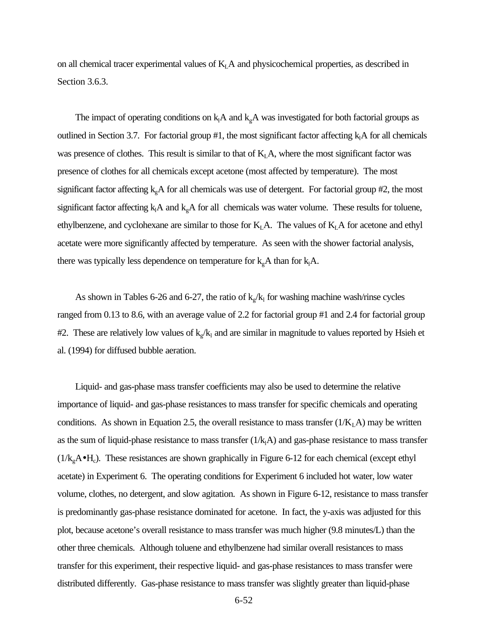on all chemical tracer experimental values of  $K<sub>L</sub>A$  and physicochemical properties, as described in Section 3.6.3.

The impact of operating conditions on  $k_1A$  and  $k_gA$  was investigated for both factorial groups as outlined in Section 3.7. For factorial group #1, the most significant factor affecting  $k_1A$  for all chemicals was presence of clothes. This result is similar to that of  $K<sub>L</sub>A$ , where the most significant factor was presence of clothes for all chemicals except acetone (most affected by temperature). The most significant factor affecting  $k<sub>g</sub>A$  for all chemicals was use of detergent. For factorial group #2, the most significant factor affecting  $k_1A$  and  $k_{g}A$  for all chemicals was water volume. These results for toluene, ethylbenzene, and cyclohexane are similar to those for  $K<sub>L</sub>A$ . The values of  $K<sub>L</sub>A$  for acetone and ethyl acetate were more significantly affected by temperature. As seen with the shower factorial analysis, there was typically less dependence on temperature for  $k_{g}A$  than for  $k_{1}A$ .

As shown in Tables 6-26 and 6-27, the ratio of  $k_g/k_l$  for washing machine wash/rinse cycles ranged from 0.13 to 8.6, with an average value of 2.2 for factorial group #1 and 2.4 for factorial group #2. These are relatively low values of  $k_g/k_l$  and are similar in magnitude to values reported by Hsieh et al. (1994) for diffused bubble aeration.

Liquid- and gas-phase mass transfer coefficients may also be used to determine the relative importance of liquid- and gas-phase resistances to mass transfer for specific chemicals and operating conditions. As shown in Equation 2.5, the overall resistance to mass transfer  $(1/K<sub>L</sub>A)$  may be written as the sum of liquid-phase resistance to mass transfer  $(1/k<sub>1</sub>A)$  and gas-phase resistance to mass transfer  $(1/k<sub>g</sub>A<sup>•</sup>H<sub>c</sub>)$ . These resistances are shown graphically in Figure 6-12 for each chemical (except ethyl acetate) in Experiment 6. The operating conditions for Experiment 6 included hot water, low water volume, clothes, no detergent, and slow agitation. As shown in Figure 6-12, resistance to mass transfer is predominantly gas-phase resistance dominated for acetone. In fact, the y-axis was adjusted for this plot, because acetone's overall resistance to mass transfer was much higher (9.8 minutes/L) than the other three chemicals. Although toluene and ethylbenzene had similar overall resistances to mass transfer for this experiment, their respective liquid- and gas-phase resistances to mass transfer were distributed differently. Gas-phase resistance to mass transfer was slightly greater than liquid-phase

6-52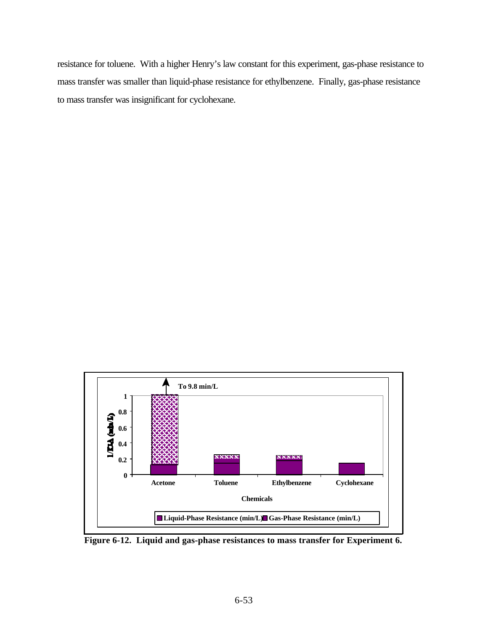resistance for toluene. With a higher Henry's law constant for this experiment, gas-phase resistance to mass transfer was smaller than liquid-phase resistance for ethylbenzene. Finally, gas-phase resistance to mass transfer was insignificant for cyclohexane.



**Figure 6-12. Liquid and gas-phase resistances to mass transfer for Experiment 6.**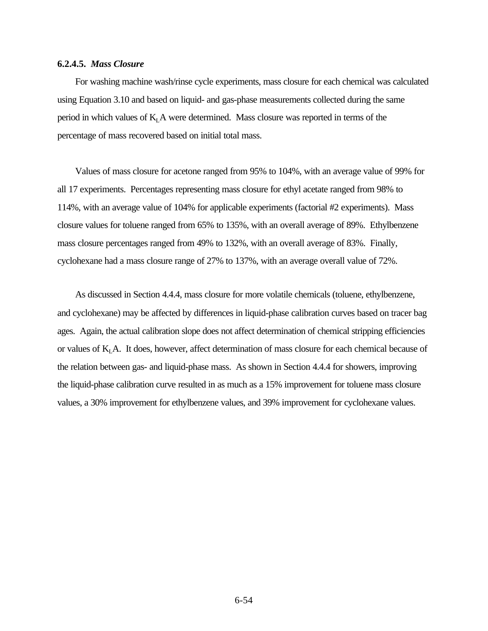#### **6.2.4.5.** *Mass Closure*

For washing machine wash/rinse cycle experiments, mass closure for each chemical was calculated using Equation 3.10 and based on liquid- and gas-phase measurements collected during the same period in which values of  $K<sub>L</sub>A$  were determined. Mass closure was reported in terms of the percentage of mass recovered based on initial total mass.

Values of mass closure for acetone ranged from 95% to 104%, with an average value of 99% for all 17 experiments. Percentages representing mass closure for ethyl acetate ranged from 98% to 114%, with an average value of 104% for applicable experiments (factorial #2 experiments). Mass closure values for toluene ranged from 65% to 135%, with an overall average of 89%. Ethylbenzene mass closure percentages ranged from 49% to 132%, with an overall average of 83%. Finally, cyclohexane had a mass closure range of 27% to 137%, with an average overall value of 72%.

As discussed in Section 4.4.4, mass closure for more volatile chemicals (toluene, ethylbenzene, and cyclohexane) may be affected by differences in liquid-phase calibration curves based on tracer bag ages. Again, the actual calibration slope does not affect determination of chemical stripping efficiencies or values of  $K<sub>L</sub>A$ . It does, however, affect determination of mass closure for each chemical because of the relation between gas- and liquid-phase mass. As shown in Section 4.4.4 for showers, improving the liquid-phase calibration curve resulted in as much as a 15% improvement for toluene mass closure values, a 30% improvement for ethylbenzene values, and 39% improvement for cyclohexane values.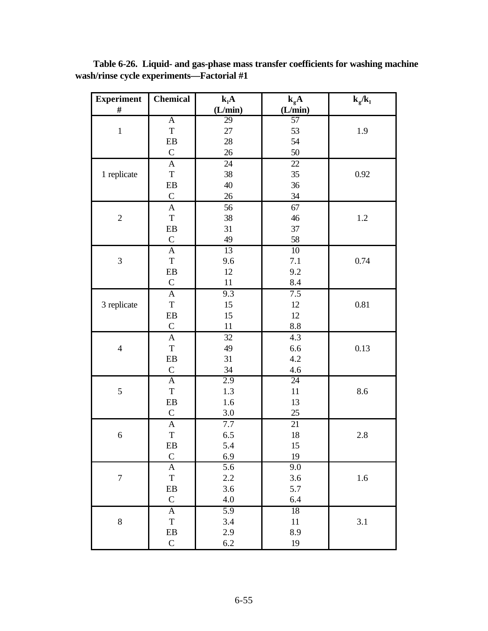| <b>Experiment</b>        | <b>Chemical</b>               | $k_lA$           | $k_{g}A$        | $k_g/k_l$ |
|--------------------------|-------------------------------|------------------|-----------------|-----------|
| $\#$                     |                               | (L/min)          | (L/min)         |           |
|                          | $\overline{A}$                | 29               | 57              |           |
| $\mathbf{1}$             | $\mathbf T$                   | 27               | 53              | 1.9       |
|                          | ${\rm EB}$                    | 28               | 54              |           |
|                          | $\mathsf{C}$                  | 26               | 50              |           |
|                          | $\mathbf A$                   | 24               | $\overline{22}$ |           |
| 1 replicate              | $\mathbf T$                   | 38               | 35              | 0.92      |
|                          | EB                            | 40               | 36              |           |
|                          | $\mathbf C$                   | 26               | 34              |           |
|                          | $\mathbf A$                   | 56               | 67              |           |
| $\overline{2}$           | $\mathbf T$                   | 38               | 46              | $1.2\,$   |
|                          | ${\rm EB}$                    | 31               | 37              |           |
|                          | $\mathsf{C}$                  | 49               | 58              |           |
|                          | $\mathbf{A}$                  | 13               | 10              |           |
| 3                        | $\mathbf T$                   | 9.6              | 7.1             | 0.74      |
|                          | ${\rm EB}$                    | 12               | 9.2             |           |
|                          | $\mathbf C$                   | 11               | 8.4             |           |
|                          | $\boldsymbol{\mathsf{A}}$     | 9.3              | 7.5             |           |
| 3 replicate              | $\mathbf T$                   | 15               | $12\,$          | 0.81      |
|                          | ${\rm EB}$                    | 15               | 12              |           |
|                          | $\mathbf C$                   | 11               | $\!\!\!\!\!8.8$ |           |
|                          | $\boldsymbol{\mathsf{A}}$     | 32               | 4.3             |           |
| $\overline{\mathcal{L}}$ | $\mathbf T$                   | 49               | 6.6             | 0.13      |
|                          | ${\rm EB}$                    | 31               | 4.2             |           |
|                          | $\mathbf C$                   | 34               | 4.6             |           |
|                          | $\overline{A}$                | 2.9              | 24              |           |
| 5                        | $\mathbf T$                   | 1.3              | $11\,$          | 8.6       |
|                          | ${\rm EB}$                    | 1.6              | 13              |           |
|                          | $\mathbf C$                   | 3.0              | $25\,$          |           |
|                          | $\overline{A}$                | 7.7              | $\overline{21}$ |           |
| $\boldsymbol{6}$         | $\mathbf T$                   | 6.5              | $18\,$          | 2.8       |
|                          | EB                            | 5.4              | $15\,$          |           |
|                          | $\mathbf C$                   | 6.9              | 19              |           |
|                          | $\mathbf{A}$                  | $\overline{5.6}$ | 9.0             |           |
| $\boldsymbol{7}$         | $\mathbf T$                   | $2.2\,$          | $3.6\,$         | 1.6       |
|                          | ${\rm EB}$<br>${\bf C}$       | $3.6\,$<br>4.0   | 5.7<br>6.4      |           |
|                          |                               | 5.9              |                 |           |
| 8                        | $\overline{A}$<br>$\mathbf T$ | 3.4              | 18              | 3.1       |
|                          | ${\bf EB}$                    | 2.9              | $11\,$<br>8.9   |           |
|                          | $\mathsf C$                   |                  | 19              |           |
|                          |                               | $6.2\,$          |                 |           |

**Table 6-26. Liquid- and gas-phase mass transfer coefficients for washing machine wash/rinse cycle experiments—Factorial #1**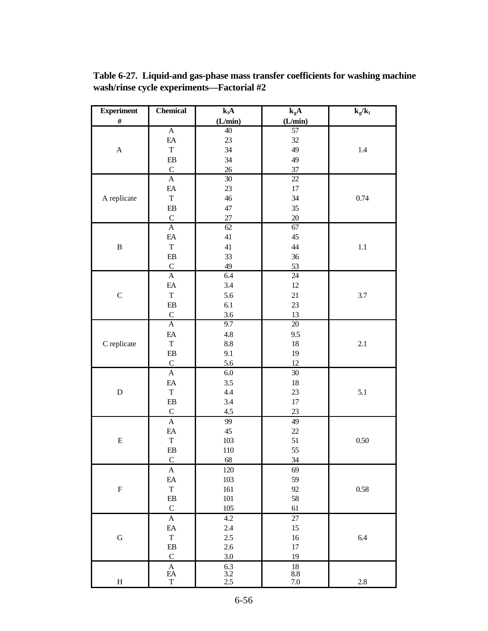**Experiment # Chemical klA (L/min)**  $\overline{\mathbf{k}_g \mathbf{A}}$ **(L/min)**  $k_g/k_l$ A A EA T EB  ${\bf C}$ 40 23 34 34 26 57 32 49 49 37 1.4 A replicate A EA T EB C 30 23 46 47 27 22 17 34 35 20 0.74 B A EA T EB  ${\bf C}$ 62 41 41 33 49 67 45 44 36 53 1.1 C A EA T EB  ${\bf C}$ 6.4 3.4 5.6 6.1 3.6 24 12 21 23 13 3.7 C replicate A EA T EB  ${\bf C}$ 9.7 4.8 8.8 9.1 5.6 20 9.5 18 19 12 2.1 D A EA T EB  ${\bf C}$ 6.0 3.5 4.4 3.4 4.5 30 18 23 17 23 5.1 E A EA T EB  ${\bf C}$ 99 45 103 110 68 49 22 51 55 34 0.50 F A EA T EB  ${\bf C}$ 120 103 161 101 105 69 59 92 58 61 0.58 G A EA T EB  ${\bf C}$ 4.2 2.4 2.5 2.6 3.0 27 15 16 17 19 6.4 H A EA T 6.3 3.2 2.5 18 8.8 7.0 2.8

**Table 6-27. Liquid-and gas-phase mass transfer coefficients for washing machine wash/rinse cycle experiments—Factorial #2**